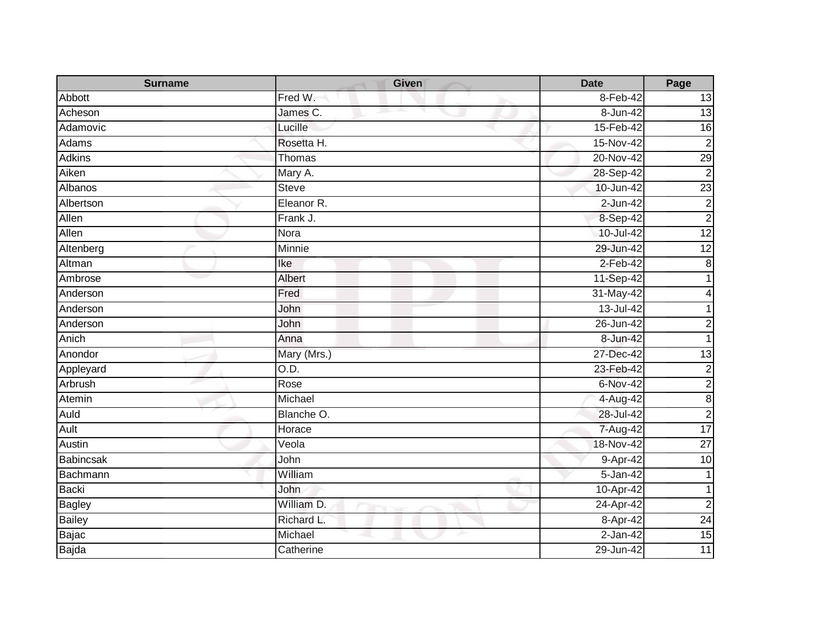| <b>Surname</b> | <b>Given</b> | <b>Date</b>   | Page            |
|----------------|--------------|---------------|-----------------|
| Abbott         | Fred W.      | 8-Feb-42      | 13              |
| Acheson        | James C.     | 8-Jun-42      | $\overline{3}$  |
| Adamovic       | Lucille      | 15-Feb-42     | $\overline{16}$ |
| Adams          | Rosetta H.   | 15-Nov-42     | $\overline{2}$  |
| <b>Adkins</b>  | Thomas       | 20-Nov-42     | 29              |
| Aiken          | Mary A.      | 28-Sep-42     | $\overline{2}$  |
| Albanos        | <b>Steve</b> | 10-Jun-42     | 23              |
| Albertson      | Eleanor R.   | $2-Jun-42$    | $\overline{c}$  |
| Allen          | Frank J.     | 8-Sep-42      | $\overline{2}$  |
| Allen          | Nora         | 10-Jul-42     | $\overline{12}$ |
| Altenberg      | Minnie       | 29-Jun-42     | 12              |
| Altman         | Ike          | 2-Feb-42      | $\bf 8$         |
| Ambrose        | Albert       | 11-Sep-42     |                 |
| Anderson       | Fred         | 31-May-42     |                 |
| Anderson       | John         | 13-Jul-42     |                 |
| Anderson       | John         | 26-Jun-42     | 2               |
| Anich          | Anna         | 8-Jun-42      |                 |
| Anondor        | Mary (Mrs.)  | 27-Dec-42     | 13              |
| Appleyard      | O.D.         | 23-Feb-42     | $\overline{2}$  |
| Arbrush        | Rose         | 6-Nov-42      | $\overline{c}$  |
| Atemin         | Michael      | 4-Aug-42      | $\infty$        |
| Auld           | Blanche O.   | 28-Jul-42     | $\overline{2}$  |
| Ault           | Horace       | 7-Aug-42      | 17              |
| Austin         | Veola        | 18-Nov-42     | $\overline{27}$ |
| Babincsak      | John         | 9-Apr-42      | 10              |
| Bachmann       | William      | 5-Jan-42      |                 |
| <b>Backi</b>   | John         | 10-Apr-42     | 1               |
| <b>Bagley</b>  | William D.   | 24-Apr-42     | $\overline{c}$  |
| <b>Bailey</b>  | Richard L.   | 8-Apr-42      | $\overline{24}$ |
| Bajac          | Michael      | $2$ -Jan-42   | 15              |
| Bajda          | Catherine    | $29 - Jun-42$ | 11              |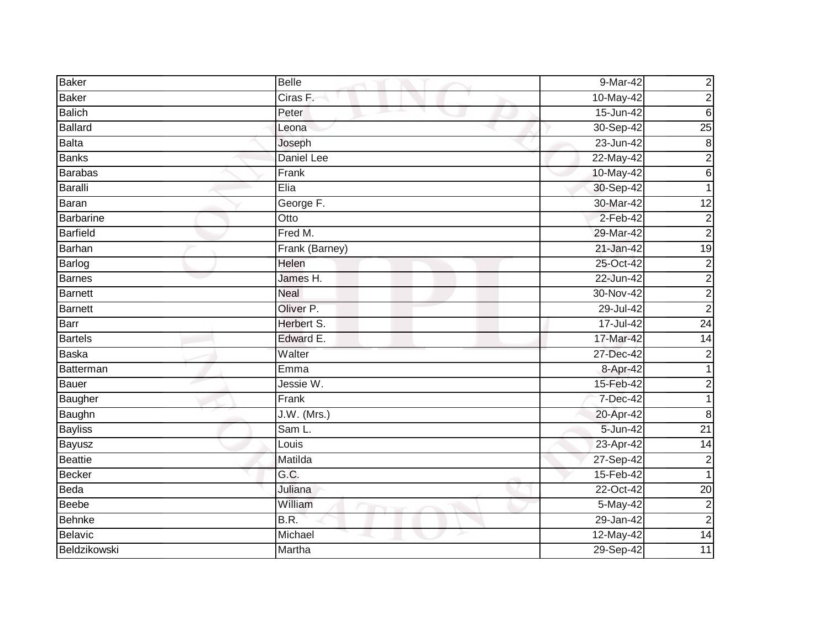| <b>Baker</b>    | <b>Belle</b>   | $9-Mar-42$     | $\overline{c}$  |
|-----------------|----------------|----------------|-----------------|
| <b>Baker</b>    | Ciras F.       | 10-May-42      | $\overline{c}$  |
| <b>Balich</b>   | Peter          | 15-Jun-42      | $\,6$           |
| <b>Ballard</b>  | Leona          | 30-Sep-42      | 25              |
| <b>Balta</b>    | Joseph         | $23 - Jun-42$  | $\infty$        |
| <b>Banks</b>    | Daniel Lee     | 22-May-42      | $\overline{c}$  |
| <b>Barabas</b>  | Frank          | 10-May-42      | $\sigma$        |
| <b>Baralli</b>  | Elia           | 30-Sep-42      |                 |
| Baran           | George F.      | 30-Mar-42      | $\overline{12}$ |
| Barbarine       | Otto           | $2-Feb-42$     | $\overline{c}$  |
| <b>Barfield</b> | Fred M.        | 29-Mar-42      | $\overline{c}$  |
| Barhan          | Frank (Barney) | 21-Jan-42      | 19              |
| Barlog          | Helen          | 25-Oct-42      | $\overline{c}$  |
| <b>Barnes</b>   | James H.       | 22-Jun-42      | $\overline{c}$  |
| <b>Barnett</b>  | <b>Neal</b>    | 30-Nov-42      | $\overline{c}$  |
| <b>Barnett</b>  | Oliver P.      | 29-Jul-42      | $\overline{2}$  |
| Barr            | Herbert S.     | 17-Jul-42      | 24              |
| <b>Bartels</b>  | Edward E.      | 17-Mar-42      | $\overline{14}$ |
| <b>Baska</b>    | Walter         | 27-Dec-42      | $\overline{c}$  |
| Batterman       | Emma           | 8-Apr-42       |                 |
| <b>Bauer</b>    | Jessie W.      | 15-Feb-42      | $\overline{c}$  |
| Baugher         | Frank          | 7-Dec-42       | 1               |
| Baughn          | $J.W.$ (Mrs.)  | 20-Apr-42      | 8               |
| <b>Bayliss</b>  | Sam L.         | $5 - Jun - 42$ | $\overline{21}$ |
| Bayusz          | Louis          | 23-Apr-42      | $\overline{14}$ |
| <b>Beattie</b>  | Matilda        | 27-Sep-42      | $\overline{2}$  |
| Becker          | G.C.           | 15-Feb-42      | 1               |
| Beda            | Juliana        | 22-Oct-42      | $\overline{20}$ |
| <b>Beebe</b>    | William        | 5-May-42       | $\overline{c}$  |
| Behnke          | B.R.           | 29-Jan-42      | $\overline{c}$  |
| <b>Belavic</b>  | Michael        | 12-May-42      | 14              |
| Beldzikowski    | Martha         | 29-Sep-42      | 11              |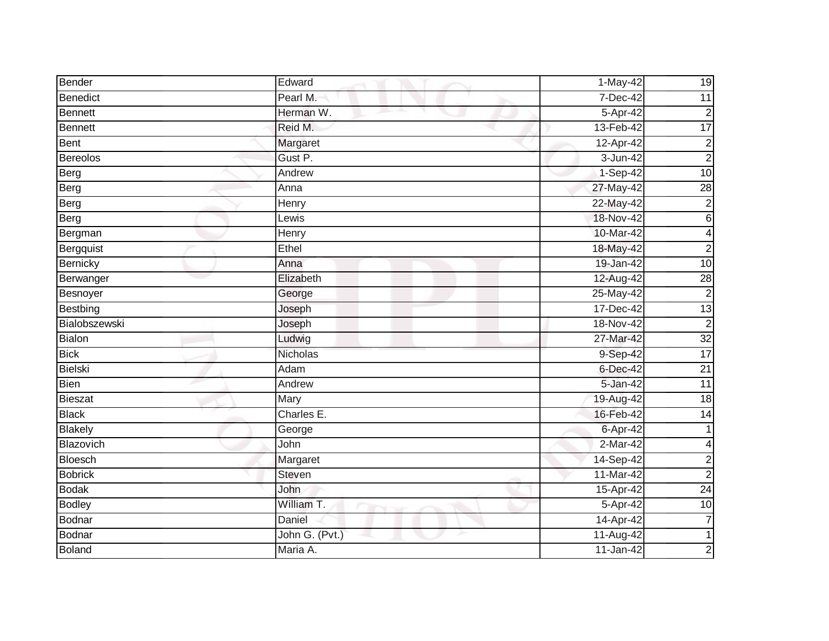| Bender          | Edward         | 1-May-42    | 19              |
|-----------------|----------------|-------------|-----------------|
| <b>Benedict</b> | Pearl M.       | 7-Dec-42    | 11              |
| Bennett         | Herman W.      | 5-Apr-42    | $\mathbf 2$     |
| <b>Bennett</b>  | Reid M.        | 13-Feb-42   | 17              |
| Bent            | Margaret       | 12-Apr-42   | $\mathbf 2$     |
| <b>Bereolos</b> | Gust P.        | 3-Jun-42    | $\overline{c}$  |
| Berg            | Andrew         | 1-Sep-42    | 10              |
| Berg            | Anna           | 27-May-42   | $\overline{28}$ |
| Berg            | Henry          | 22-May-42   | $\overline{c}$  |
| Berg            | Lewis          | 18-Nov-42   | $\sigma$        |
| Bergman         | Henry          | 10-Mar-42   | 4               |
| Bergquist       | $E$ thel       | 18-May-42   | $\overline{a}$  |
| Bernicky        | Anna           | 19-Jan-42   | 10              |
| Berwanger       | Elizabeth      | 12-Aug-42   | 28              |
| Besnoyer        | George         | 25-May-42   | $\overline{c}$  |
| Bestbing        | Joseph         | 17-Dec-42   | 13              |
| Bialobszewski   | Joseph         | 18-Nov-42   | $\overline{2}$  |
| <b>Bialon</b>   | Ludwig         | 27-Mar-42   | $\overline{32}$ |
| <b>Bick</b>     | Nicholas       | 9-Sep-42    | $\overline{17}$ |
| <b>Bielski</b>  | Adam           | 6-Dec-42    | $\overline{21}$ |
| Bien            | Andrew         | 5-Jan-42    | 11              |
| <b>Bieszat</b>  | Mary           | 19-Aug-42   | 18              |
| <b>Black</b>    | Charles E.     | 16-Feb-42   | $\overline{14}$ |
| <b>Blakely</b>  | George         | 6-Apr-42    | 1               |
| Blazovich       | John           | $2-Mar-42$  | 4               |
| <b>Bloesch</b>  | Margaret       | 14-Sep-42   | $\overline{c}$  |
| <b>Bobrick</b>  | Steven         | 11-Mar-42   | $\overline{2}$  |
| <b>Bodak</b>    | John           | 15-Apr-42   | $\overline{24}$ |
| <b>Bodley</b>   | William T.     | 5-Apr-42    | $\overline{10}$ |
| Bodnar          | Daniel         | 14-Apr-42   | 7               |
| <b>Bodnar</b>   | John G. (Pvt.) | $11-Aug-42$ |                 |
| <b>Boland</b>   | Maria A.       | 11-Jan-42   | $\overline{2}$  |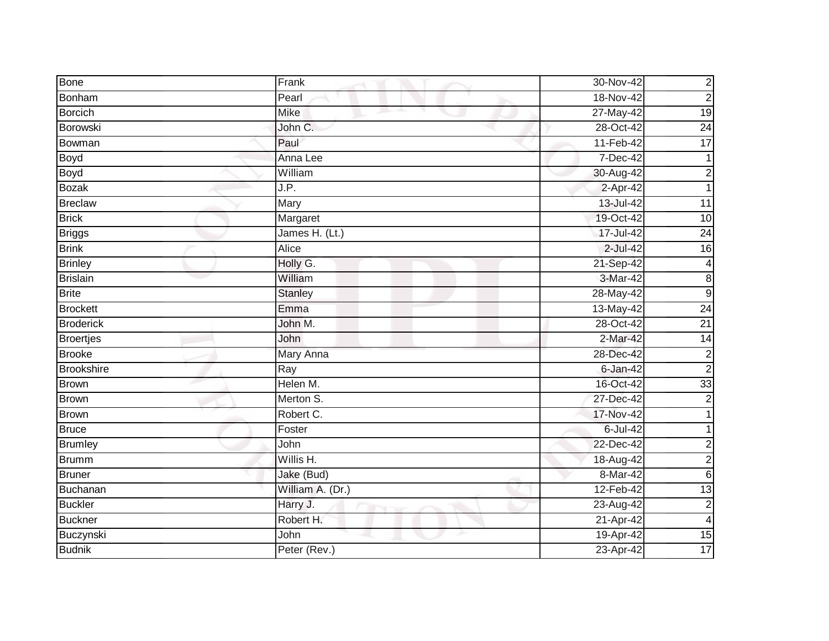| Bone              | Frank            | 30-Nov-42     | $\overline{c}$          |
|-------------------|------------------|---------------|-------------------------|
| Bonham            | Pearl            | 18-Nov-42     | $\overline{c}$          |
| <b>Borcich</b>    | <b>Mike</b>      | 27-May-42     | $\overline{19}$         |
| Borowski          | John C.          | 28-Oct-42     | $\overline{24}$         |
| Bowman            | Paul             | 11-Feb-42     | 17                      |
| Boyd              | Anna Lee         | 7-Dec-42      |                         |
| <b>Boyd</b>       | William          | 30-Aug-42     | $\overline{c}$          |
| <b>Bozak</b>      | J.P.             | 2-Apr-42      |                         |
| <b>Breclaw</b>    | Mary             | 13-Jul-42     | $\overline{11}$         |
| <b>Brick</b>      | Margaret         | 19-Oct-42     | 10                      |
| <b>Briggs</b>     | James H. (Lt.)   | $17 -$ Jul-42 | $\overline{24}$         |
| <b>Brink</b>      | Alice            | 2-Jul-42      | 16                      |
| <b>Brinley</b>    | Holly G.         | 21-Sep-42     | $\overline{4}$          |
| <b>Brislain</b>   | William          | 3-Mar-42      | 8                       |
| <b>Brite</b>      | <b>Stanley</b>   | 28-May-42     | $\boldsymbol{9}$        |
| <b>Brockett</b>   | Emma             | 13-May-42     | $\overline{24}$         |
| <b>Broderick</b>  | John M.          | 28-Oct-42     | $\overline{21}$         |
| <b>Broertjes</b>  | John             | 2-Mar-42      | $\overline{14}$         |
| <b>Brooke</b>     | Mary Anna        | 28-Dec-42     | $\overline{c}$          |
| <b>Brookshire</b> | Ray              | $6$ -Jan-42   | $\overline{2}$          |
| Brown             | Helen M.         | 16-Oct-42     | 33                      |
| <b>Brown</b>      | Merton S.        | 27-Dec-42     | $\overline{2}$          |
| <b>Brown</b>      | Robert C.        | 17-Nov-42     |                         |
| <b>Bruce</b>      | Foster           | 6-Jul-42      | 1                       |
| <b>Brumley</b>    | John             | 22-Dec-42     | $\overline{c}$          |
| <b>Brumm</b>      | Willis H.        | 18-Aug-42     | $\overline{c}$          |
| <b>Bruner</b>     | Jake (Bud)       | 8-Mar-42      | $\,6$                   |
| Buchanan          | William A. (Dr.) | 12-Feb-42     | $\overline{13}$         |
| <b>Buckler</b>    | Harry J.         | 23-Aug-42     | $\overline{c}$          |
| <b>Buckner</b>    | Robert H.        | 21-Apr-42     | $\overline{\mathbf{4}}$ |
| Buczynski         | John             | 19-Apr-42     | $\overline{15}$         |
| <b>Budnik</b>     | Peter (Rev.)     | 23-Apr-42     | 17                      |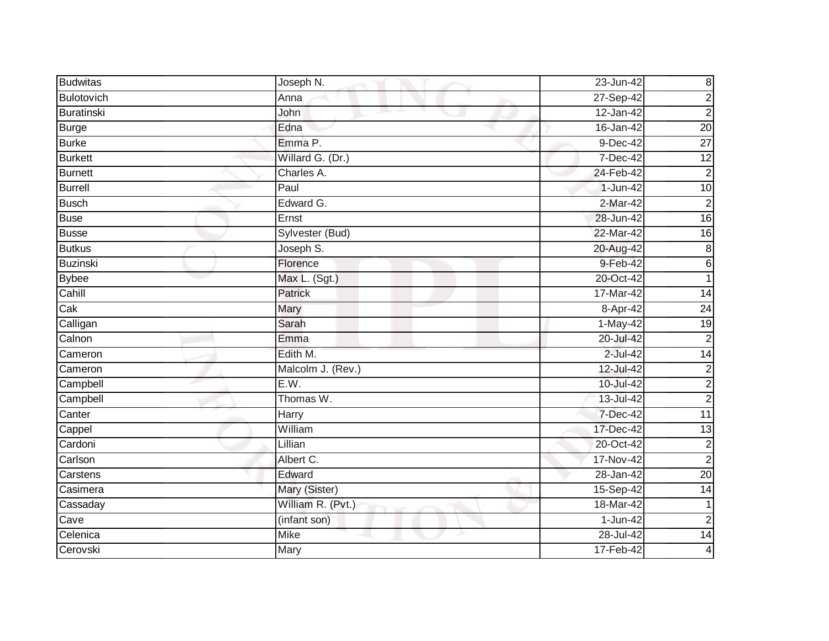| <b>Budwitas</b> | Joseph N.         | 23-Jun-42    | $\boldsymbol{8}$ |
|-----------------|-------------------|--------------|------------------|
| Bulotovich      | Anna              | 27-Sep-42    | $\overline{c}$   |
| Buratinski      | John              | $12$ -Jan-42 | $\overline{c}$   |
| <b>Burge</b>    | Edna              | 16-Jan-42    | 20               |
| <b>Burke</b>    | Emma P.           | $9$ -Dec-42  | $\overline{27}$  |
| <b>Burkett</b>  | Willard G. (Dr.)  | 7-Dec-42     | $\overline{12}$  |
| <b>Burnett</b>  | Charles A.        | 24-Feb-42    | $\overline{2}$   |
| <b>Burrell</b>  | Paul              | 1-Jun-42     | 10               |
| <b>Busch</b>    | Edward G.         | 2-Mar-42     | $\overline{2}$   |
| <b>Buse</b>     | Ernst             | 28-Jun-42    | 16               |
| <b>Busse</b>    | Sylvester (Bud)   | 22-Mar-42    | 16               |
| <b>Butkus</b>   | Joseph S.         | 20-Aug-42    | 8                |
| <b>Buzinski</b> | Florence          | 9-Feb-42     | $6 \,$           |
| <b>Bybee</b>    | Max L. (Sgt.)     | 20-Oct-42    |                  |
| Cahill          | <b>Patrick</b>    | 17-Mar-42    | $\overline{14}$  |
| Cak             | Mary              | $8 -$ Apr-42 | $\overline{24}$  |
| Calligan        | Sarah             | $1-May-42$   | 19               |
| Calnon          | Emma              | 20-Jul-42    | $\overline{c}$   |
| Cameron         | Edith M.          | $2$ -Jul-42  | $\overline{14}$  |
| Cameron         | Malcolm J. (Rev.) | 12-Jul-42    | $\overline{2}$   |
| Campbell        | E.W.              | 10-Jul-42    | $\overline{c}$   |
| Campbell        | Thomas W.         | 13-Jul-42    | $\overline{2}$   |
| Canter          | Harry             | 7-Dec-42     | $\overline{11}$  |
| Cappel          | William           | 17-Dec-42    | 13               |
| Cardoni         | Lillian           | 20-Oct-42    | $\overline{c}$   |
| Carlson         | Albert C.         | 17-Nov-42    | $\overline{2}$   |
| Carstens        | Edward            | 28-Jan-42    | 20               |
| Casimera        | Mary (Sister)     | 15-Sep-42    | 14               |
| Cassaday        | William R. (Pvt.) | 18-Mar-42    |                  |
| Cave            | (infant son)      | 1-Jun-42     | $\overline{2}$   |
| Celenica        | <b>Mike</b>       | 28-Jul-42    | 14               |
| Cerovski        | Mary              | 17-Feb-42    | 4                |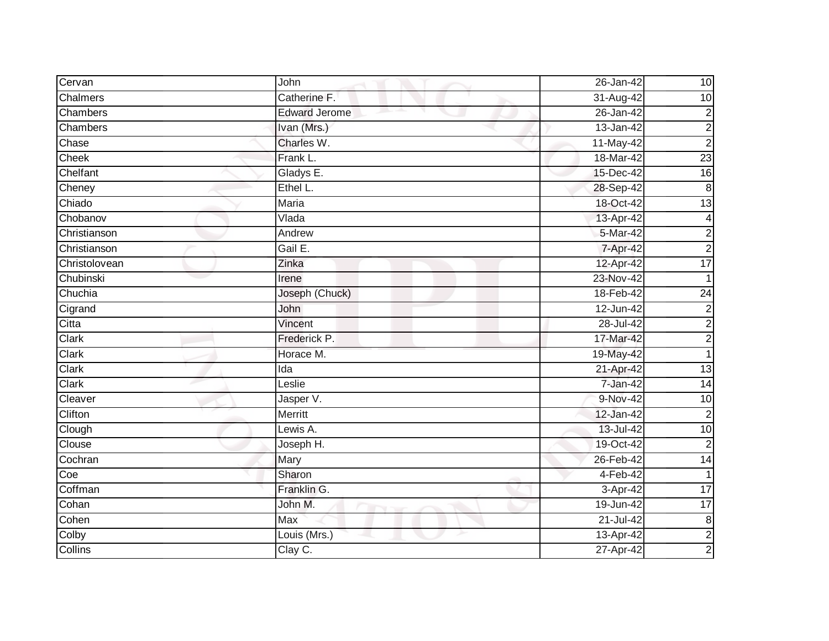| Cervan        | John                 | 26-Jan-42     | 10               |
|---------------|----------------------|---------------|------------------|
| Chalmers      | Catherine F.         | 31-Aug-42     | 10               |
| Chambers      | <b>Edward Jerome</b> | $26 - Jan-42$ | $\overline{c}$   |
| Chambers      | Ivan (Mrs.)          | 13-Jan-42     | $\overline{c}$   |
| Chase         | Charles W.           | 11-May-42     | $\overline{c}$   |
| Cheek         | Frank L.             | 18-Mar-42     | 23               |
| Chelfant      | Gladys E.            | 15-Dec-42     | $\overline{16}$  |
| Cheney        | Ethel L.             | 28-Sep-42     | $\boldsymbol{8}$ |
| Chiado        | Maria                | 18-Oct-42     | $\overline{13}$  |
| Chobanov      | Vlada                | 13-Apr-42     | $\overline{4}$   |
| Christianson  | Andrew               | 5-Mar-42      | $\overline{c}$   |
| Christianson  | Gail E.              | 7-Apr-42      | $\overline{c}$   |
| Christolovean | Zinka                | 12-Apr-42     | 17               |
| Chubinski     | Irene                | 23-Nov-42     |                  |
| Chuchia       | Joseph (Chuck)       | 18-Feb-42     | $\overline{24}$  |
| Cigrand       | John                 | 12-Jun-42     | $\overline{2}$   |
| Citta         | Vincent              | 28-Jul-42     | $\overline{c}$   |
| Clark         | Frederick P.         | 17-Mar-42     | $\overline{c}$   |
| Clark         | Horace M.            | 19-May-42     |                  |
| Clark         | $\overline{Ida}$     | 21-Apr-42     | $\overline{13}$  |
| Clark         | Leslie               | 7-Jan-42      | 14               |
| Cleaver       | Jasper V.            | 9-Nov-42      | 10               |
| Clifton       | Merritt              | 12-Jan-42     | $\overline{c}$   |
| Clough        | Lewis A.             | 13-Jul-42     | 10               |
| Clouse        | Joseph H.            | 19-Oct-42     | $\overline{2}$   |
| Cochran       | Mary                 | 26-Feb-42     | $\overline{14}$  |
| Coe           | Sharon               | $4-Feb-42$    | 1                |
| Coffman       | Franklin G.          | 3-Apr-42      | $\overline{17}$  |
| Cohan         | John M.              | 19-Jun-42     | $\overline{17}$  |
| Cohen         | Max                  | $21 -$ Jul-42 | $\bf 8$          |
| Colby         | Louis ( $Mrs.$ )     | 13-Apr-42     | $\overline{2}$   |
| Collins       | Clay C.              | 27-Apr-42     | $\overline{2}$   |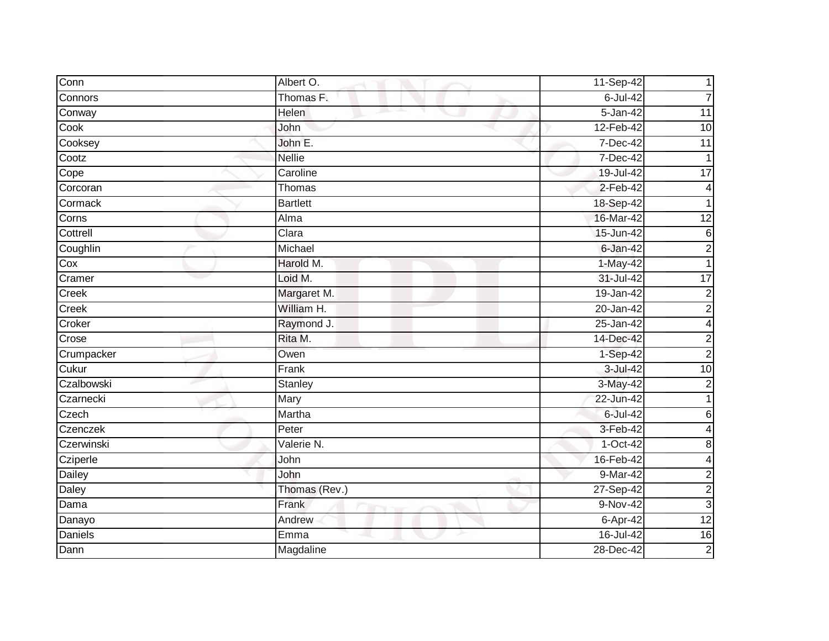| Conn           | Albert O.       | 11-Sep-42    |                 |
|----------------|-----------------|--------------|-----------------|
| Connors        | Thomas F.       | $6$ -Jul-42  | 7               |
| Conway         | <b>Helen</b>    | $5 - Jan-42$ | 11              |
| Cook           | John            | 12-Feb-42    | 10              |
| Cooksey        | John E.         | 7-Dec-42     | $\overline{11}$ |
| Cootz          | <b>Nellie</b>   | 7-Dec-42     | 1               |
| Cope           | Caroline        | 19-Jul-42    | 17              |
| Corcoran       | Thomas          | $2-Feb-42$   | 4               |
| Cormack        | <b>Bartlett</b> | 18-Sep-42    |                 |
| Corns          | Alma            | 16-Mar-42    | $\overline{12}$ |
| Cottrell       | Clara           | 15-Jun-42    | $\,6$           |
| Coughlin       | Michael         | 6-Jan-42     | $\overline{c}$  |
| Cox            | Harold M.       | 1-May-42     |                 |
| Cramer         | Loid M.         | 31-Jul-42    | $\overline{17}$ |
| Creek          | Margaret M.     | 19-Jan-42    | $\overline{c}$  |
| Creek          | William H.      | 20-Jan-42    | $\overline{c}$  |
| Croker         | Raymond J.      | 25-Jan-42    | 4               |
| Crose          | Rita M.         | 14-Dec-42    | $\overline{c}$  |
| Crumpacker     | Owen            | 1-Sep-42     | $\overline{2}$  |
| Cukur          | Frank           | 3-Jul-42     | 10              |
| Czalbowski     | <b>Stanley</b>  | 3-May-42     | $\overline{c}$  |
| Czarnecki      | Mary            | 22-Jun-42    |                 |
| Czech          | Martha          | 6-Jul-42     | 6               |
| Czenczek       | Peter           | 3-Feb-42     | 4               |
| Czerwinski     | Valerie N.      | $1-Oct-42$   | 8               |
| Cziperle       | John            | 16-Feb-42    | 4               |
| <b>Dailey</b>  | John            | 9-Mar-42     | $\overline{c}$  |
| Daley          | Thomas (Rev.)   | 27-Sep-42    | $\overline{c}$  |
| Dama           | Frank           | $9-Nov-42$   | $\mathbf{3}$    |
| Danayo         | Andrew          | 6-Apr-42     | 12              |
| <b>Daniels</b> | Emma            | 16-Jul-42    | $\overline{16}$ |
| Dann           | Magdaline       | 28-Dec-42    | $\overline{2}$  |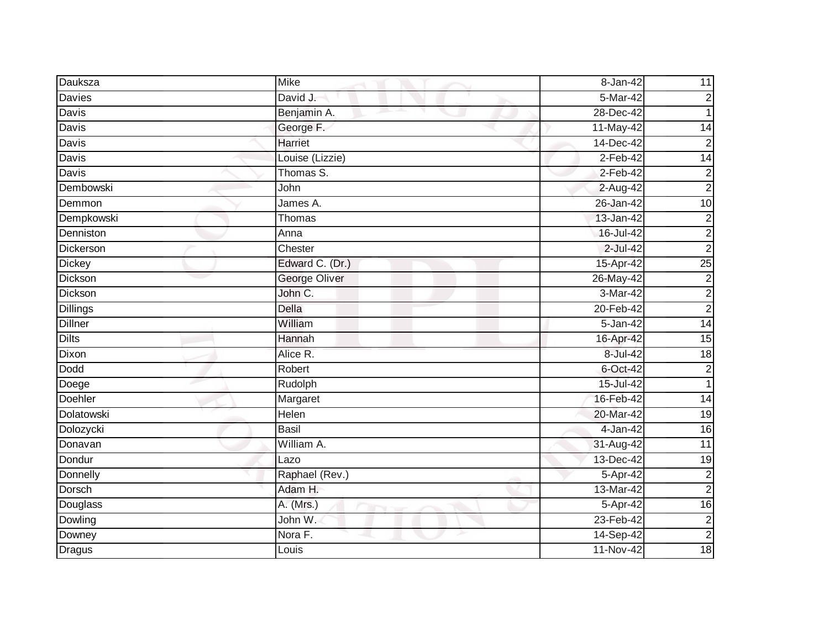| Dauksza        | <b>Mike</b>     | 8-Jan-42     | 11                      |
|----------------|-----------------|--------------|-------------------------|
| Davies         | David J.        | 5-Mar-42     | $\overline{2}$          |
| Davis          | Benjamin A.     | 28-Dec-42    |                         |
| Davis          | George F.       | 11-May-42    | 14                      |
| Davis          | <b>Harriet</b>  | 14-Dec-42    | $\overline{c}$          |
| Davis          | Louise (Lizzie) | $2$ -Feb-42  | 14                      |
| Davis          | Thomas S.       | 2-Feb-42     | $\overline{c}$          |
| Dembowski      | John            | 2-Aug-42     | $\overline{c}$          |
| Demmon         | James A.        | 26-Jan-42    | 10                      |
| Dempkowski     | Thomas          | 13-Jan-42    | $\overline{c}$          |
| Denniston      | Anna            | 16-Jul-42    | $\overline{c}$          |
| Dickerson      | Chester         | 2-Jul-42     | $\overline{c}$          |
| <b>Dickey</b>  | Edward C. (Dr.) | 15-Apr-42    | $\overline{25}$         |
| Dickson        | George Oliver   | 26-May-42    | $\overline{2}$          |
| Dickson        | John C.         | 3-Mar-42     | $\overline{c}$          |
| Dillings       | Della           | $20-Feb-42$  | $\overline{c}$          |
| <b>Dillner</b> | William         | $5 - Jan-42$ | 14                      |
| <b>Dilts</b>   | Hannah          | 16-Apr-42    | 15                      |
| Dixon          | Alice R.        | 8-Jul-42     | 18                      |
| Dodd           | Robert          | 6-Oct-42     | $\overline{2}$          |
| Doege          | Rudolph         | 15-Jul-42    | $\mathbf{1}$            |
| Doehler        | Margaret        | 16-Feb-42    | 14                      |
| Dolatowski     | Helen           | 20-Mar-42    | 19                      |
| Dolozycki      | <b>Basil</b>    | 4-Jan-42     | $\overline{16}$         |
| Donavan        | William A.      | 31-Aug-42    | 11                      |
| Dondur         | Lazo            | 13-Dec-42    | $\overline{19}$         |
| Donnelly       | Raphael (Rev.)  | 5-Apr-42     | $\overline{c}$          |
| <b>Dorsch</b>  | Adam H.         | 13-Mar-42    | $\overline{c}$          |
| Douglass       | A. (Mrs.)       | 5-Apr-42     | 16                      |
| Dowling        | John W.         | 23-Feb-42    | $\overline{c}$          |
| Downey         | Nora F.         | 14-Sep-42    | $\overline{\mathbf{c}}$ |
| <b>Dragus</b>  | Louis           | $11-Nov-42$  | 18                      |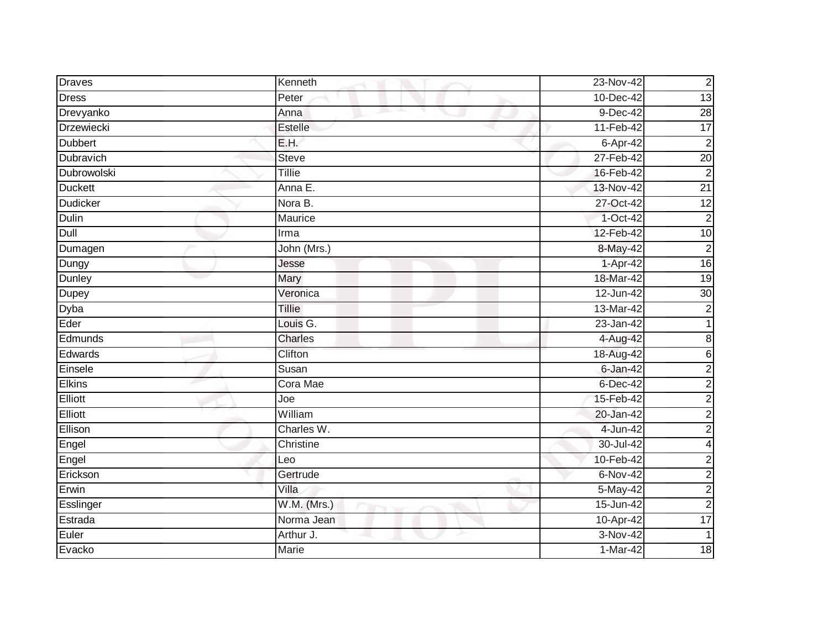| <b>Draves</b>    | Kenneth                                                                                                                                                                                                                                | 23-Nov-42              | $\overline{c}$  |
|------------------|----------------------------------------------------------------------------------------------------------------------------------------------------------------------------------------------------------------------------------------|------------------------|-----------------|
| <b>Dress</b>     | Peter                                                                                                                                                                                                                                  | 10-Dec-42              | 13              |
| Drevyanko        | Anna<br>and the contract of the contract of the contract of the contract of the contract of the contract of the contract of the contract of the contract of the contract of the contract of the contract of the contract of the contra | $9-Dec-42$             | 28              |
| Drzewiecki       | Estelle                                                                                                                                                                                                                                | 11-Feb-42              | 17              |
| <b>Dubbert</b>   | E.H.                                                                                                                                                                                                                                   | 6-Apr-42               | $\overline{2}$  |
| <b>Dubravich</b> | <b>Steve</b>                                                                                                                                                                                                                           | 27-Feb-42              | 20              |
| Dubrowolski      | Tillie                                                                                                                                                                                                                                 | 16-Feb-42              | $\overline{2}$  |
| <b>Duckett</b>   | Anna E.                                                                                                                                                                                                                                | 13-Nov-42              | $\overline{21}$ |
| <b>Dudicker</b>  | Nora B.                                                                                                                                                                                                                                | 27-Oct-42              | 12              |
| Dulin            | Maurice                                                                                                                                                                                                                                | $1-Oct-42$             | $\overline{2}$  |
| Dull             | Irma                                                                                                                                                                                                                                   | 12-Feb-42              | $\overline{10}$ |
| Dumagen          | John (Mrs.)                                                                                                                                                                                                                            | 8-May-42               | $\overline{c}$  |
| Dungy            | Jesse                                                                                                                                                                                                                                  | 1-Apr-42               | $\overline{16}$ |
| Dunley           | Mary                                                                                                                                                                                                                                   | 18-Mar-42              | $\overline{19}$ |
| Dupey            | Veronica                                                                                                                                                                                                                               | 12-Jun-42              | 30              |
| Dyba             | Tillie                                                                                                                                                                                                                                 | 13-Mar-42              | $\overline{c}$  |
| Eder             | Louis G.                                                                                                                                                                                                                               | $23 - Jan-42$          |                 |
| Edmunds          | <b>Charles</b>                                                                                                                                                                                                                         | 4-Aug-42               | $\bf 8$         |
| Edwards          | Clifton                                                                                                                                                                                                                                | 18-Aug-42              | $\sigma$        |
| Einsele          | Susan                                                                                                                                                                                                                                  | $6 - Jan-42$           | $\overline{2}$  |
| <b>Elkins</b>    | Cora Mae                                                                                                                                                                                                                               | 6-Dec-42               | $\overline{c}$  |
| Elliott          | Joe                                                                                                                                                                                                                                    | 15-Feb-42              | $\overline{c}$  |
| Elliott          | William                                                                                                                                                                                                                                | 20-Jan-42              | $\overline{c}$  |
| Ellison          | Charles W.                                                                                                                                                                                                                             | 4-Jun-42               | $\overline{c}$  |
| Engel            | Christine                                                                                                                                                                                                                              | 30-Jul-42              | 4               |
| Engel            | Leo                                                                                                                                                                                                                                    | 10-Feb-42              | $\overline{c}$  |
| Erickson         | Gertrude                                                                                                                                                                                                                               | $6-Nov-42$             | $\overline{c}$  |
| Erwin            | Villa                                                                                                                                                                                                                                  | $\overline{5}$ -May-42 | $\overline{c}$  |
| Esslinger        | W.M. (Mrs.)                                                                                                                                                                                                                            | 15-Jun-42              | $\overline{c}$  |
| Estrada          | Norma Jean                                                                                                                                                                                                                             | 10-Apr-42              | 17              |
| Euler            | Arthur J.                                                                                                                                                                                                                              | 3-Nov-42               | $\mathbf{1}$    |
| Evacko           | Marie                                                                                                                                                                                                                                  | $1-Mar-42$             | 18              |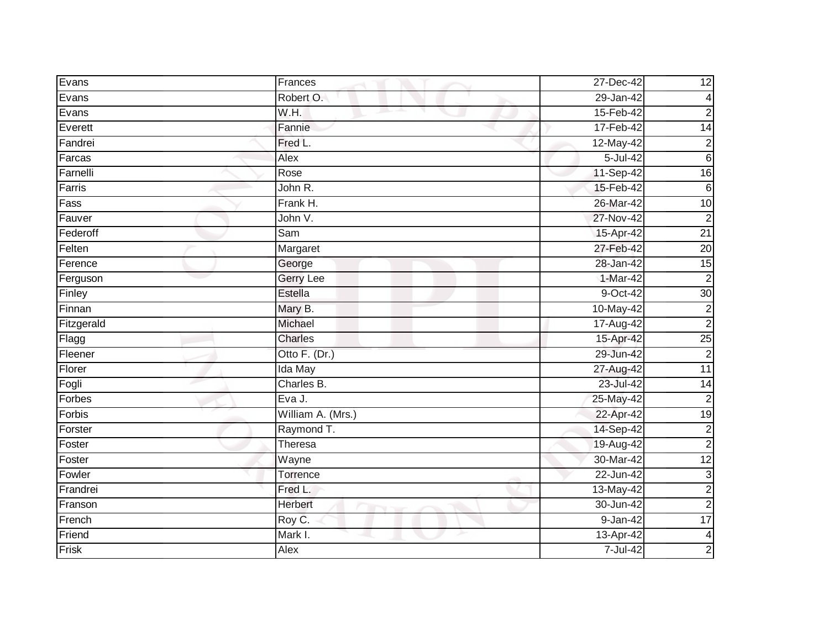| Evans      | Frances           | 27-Dec-42     | 12              |
|------------|-------------------|---------------|-----------------|
| Evans      | Robert O.         | 29-Jan-42     | $\overline{4}$  |
| Evans      | W.H.              | 15-Feb-42     | $\overline{2}$  |
| Everett    | Fannie            | 17-Feb-42     | $\overline{14}$ |
| Fandrei    | Fred L.           | 12-May-42     | $\overline{c}$  |
| Farcas     | Alex              | 5-Jul-42      | $6\phantom{1}$  |
| Farnelli   | Rose              | 11-Sep-42     | $\overline{16}$ |
| Farris     | John R.           | 15-Feb-42     | $6\phantom{1}$  |
| Fass       | Frank H.          | 26-Mar-42     | 10              |
| Fauver     | John V.           | 27-Nov-42     | $\overline{2}$  |
| Federoff   | Sam               | 15-Apr-42     | $\overline{21}$ |
| Felten     | Margaret          | 27-Feb-42     | 20              |
| Ference    | George            | 28-Jan-42     | 15              |
| Ferguson   | <b>Gerry Lee</b>  | $1-Mar-42$    | $\overline{2}$  |
| Finley     | <b>Estella</b>    | 9-Oct-42      | 30              |
| Finnan     | Mary B.           | 10-May-42     | $\overline{c}$  |
| Fitzgerald | Michael           | 17-Aug-42     | $\overline{2}$  |
| Flagg      | Charles           | 15-Apr-42     | 25              |
| Fleener    | Otto F. (Dr.)     | 29-Jun-42     | $\overline{2}$  |
| Florer     | <b>Ida May</b>    | 27-Aug-42     | 11              |
| Fogli      | Charles B.        | 23-Jul-42     | $\overline{14}$ |
| Forbes     | Eva J.            | 25-May-42     | $\overline{2}$  |
| Forbis     | William A. (Mrs.) | 22-Apr-42     | 19              |
| Forster    | Raymond T.        | 14-Sep-42     | $\overline{c}$  |
| Foster     | Theresa           | 19-Aug-42     | $\overline{c}$  |
| Foster     | Wayne             | 30-Mar-42     | 12              |
| Fowler     | Torrence          | $22 - Jun-42$ | $\mathsf 3$     |
| Frandrei   | Fred L.           | 13-May-42     | $\overline{c}$  |
| Franson    | Herbert           | 30-Jun-42     | $\overline{2}$  |
| French     | Roy C.            | 9-Jan-42      | 17              |
| Friend     | Mark I.           | 13-Apr-42     | $\overline{a}$  |
| Frisk      | Alex              | 7-Jul-42      | $\overline{c}$  |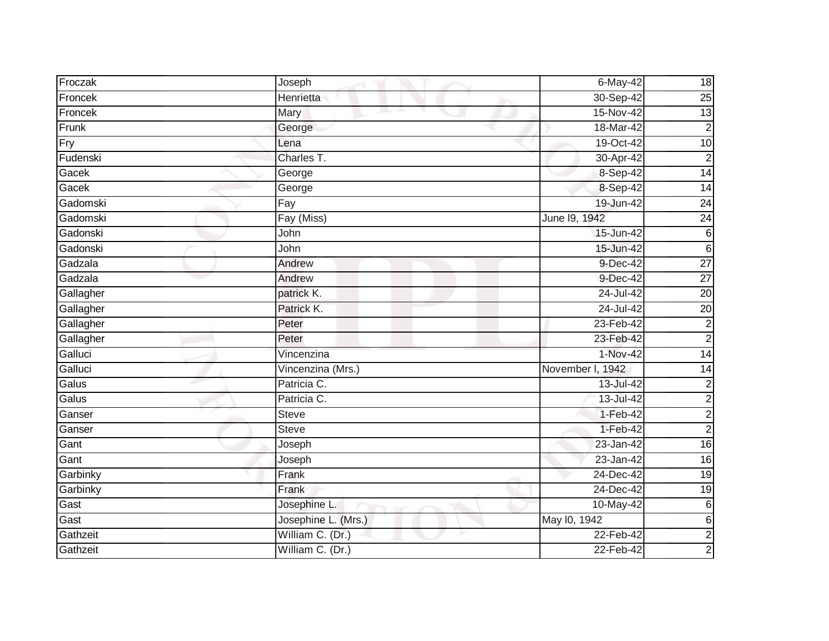| Froczak   | Joseph              | 6-May-42         | 18              |
|-----------|---------------------|------------------|-----------------|
|           |                     |                  |                 |
| Froncek   | Henrietta           | 30-Sep-42        | 25              |
| Froncek   | Mary                | 15-Nov-42        | 13              |
| Frunk     | George              | 18-Mar-42        | $\overline{2}$  |
| Fry       | Lena                | 19-Oct-42        | 10              |
| Fudenski  | Charles T.          | 30-Apr-42        | $\overline{c}$  |
| Gacek     | George              | 8-Sep-42         | 14              |
| Gacek     | George              | 8-Sep-42         | $\overline{14}$ |
| Gadomski  | Fay                 | 19-Jun-42        | $\overline{24}$ |
| Gadomski  | Fay (Miss)          | June 19, 1942    | 24              |
| Gadonski  | John                | 15-Jun-42        | $6\phantom{.}6$ |
| Gadonski  | John                | 15-Jun-42        | $\sigma$        |
| Gadzala   | Andrew              | 9-Dec-42         | $\overline{27}$ |
| Gadzala   | Andrew              | 9-Dec-42         | $\overline{27}$ |
| Gallagher | patrick K.          | 24-Jul-42        | $\overline{20}$ |
| Gallagher | Patrick K.          | 24-Jul-42        | $\overline{20}$ |
| Gallagher | Peter               | 23-Feb-42        | $\overline{2}$  |
| Gallagher | Peter               | 23-Feb-42        | $\overline{2}$  |
| Galluci   | Vincenzina          | 1-Nov-42         | 14              |
| Galluci   | Vincenzina (Mrs.)   | November I, 1942 | $\overline{14}$ |
| Galus     | Patricia C.         | 13-Jul-42        | $\overline{c}$  |
| Galus     | Patricia C.         | 13-Jul-42        | $\overline{2}$  |
| Ganser    | <b>Steve</b>        | 1-Feb-42         | $\overline{c}$  |
| Ganser    | Steve               | $1-Feb-42$       | $\overline{c}$  |
| Gant      | Joseph              | 23-Jan-42        | $\overline{16}$ |
| Gant      | Joseph              | 23-Jan-42        | $\overline{16}$ |
| Garbinky  | Frank               | 24-Dec-42        | $\overline{19}$ |
| Garbinky  | Frank               | 24-Dec-42        | $\overline{19}$ |
| Gast      | Josephine L.        | 10-May-42        | $\,6$           |
| Gast      | Josephine L. (Mrs.) | May 10, 1942     | 6               |
| Gathzeit  | William C. (Dr.)    | 22-Feb-42        | $\overline{2}$  |
| Gathzeit  | William C. (Dr.)    | 22-Feb-42        | $\overline{a}$  |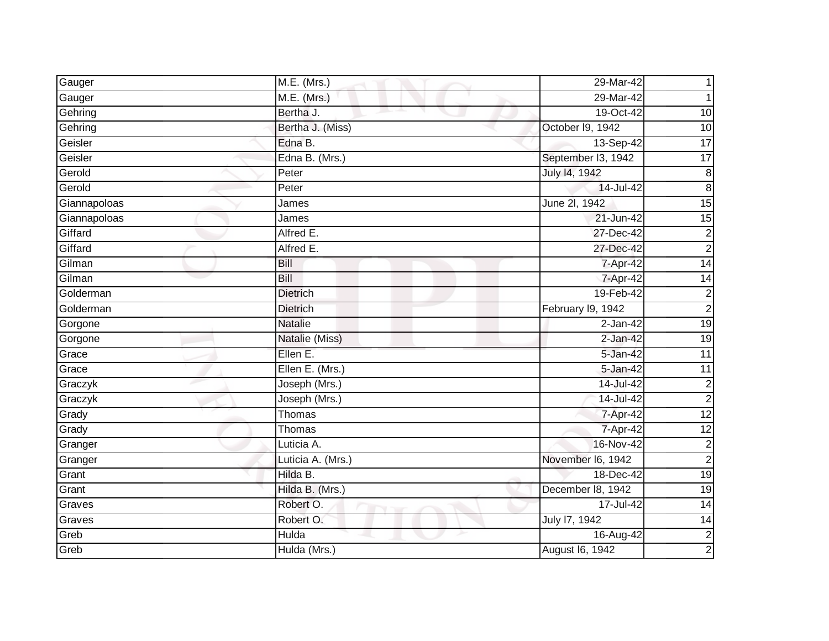| Gauger       | M.E. (Mrs.)                | 29-Mar-42          |                         |
|--------------|----------------------------|--------------------|-------------------------|
| Gauger       | M.E. (Mrs.)                | 29-Mar-42          |                         |
| Gehring      | Bertha J.<br>m.<br>and the | 19-Oct-42          | 10                      |
| Gehring      | Bertha J. (Miss)           | October I9, 1942   | 10                      |
| Geisler      | Edna B.                    | 13-Sep-42          | $\overline{17}$         |
| Geisler      | Edna B. (Mrs.)             | September I3, 1942 | 17                      |
| Gerold       | Peter                      | July 14, 1942      | $\overline{8}$          |
| Gerold       | Peter                      | 14-Jul-42          | $\overline{8}$          |
| Giannapoloas | James                      | June 2l, 1942      | 15                      |
| Giannapoloas | James                      | 21-Jun-42          | 15                      |
| Giffard      | Alfred E.                  | 27-Dec-42          | $\overline{\mathbf{c}}$ |
| Giffard      | Alfred E.                  | 27-Dec-42          | $\overline{2}$          |
| Gilman       | Bill                       | 7-Apr-42           | 14                      |
| Gilman       | Bill                       | 7-Apr-42           | $\overline{14}$         |
| Golderman    | <b>Dietrich</b>            | 19-Feb-42          | $\overline{2}$          |
| Golderman    | <b>Dietrich</b>            | February I9, 1942  | $\overline{2}$          |
| Gorgone      | <b>Natalie</b>             | $2$ -Jan-42        | 19                      |
| Gorgone      | Natalie (Miss)             | $2$ -Jan-42        | 19                      |
| Grace        | Ellen E.                   | 5-Jan-42           | $\overline{11}$         |
| Grace        | Ellen E. (Mrs.)            | 5-Jan-42           | 11                      |
| Graczyk      | Joseph (Mrs.)              | 14-Jul-42          | $\overline{\mathbf{c}}$ |
| Graczyk      | Joseph (Mrs.)              | 14-Jul-42          | $\overline{2}$          |
| Grady        | Thomas                     | 7-Apr-42           | 12                      |
| Grady        | Thomas                     | 7-Apr-42           | $\overline{12}$         |
| Granger      | Luticia A.                 | 16-Nov-42          | $\overline{c}$          |
| Granger      | Luticia A. (Mrs.)          | November I6, 1942  | $\overline{2}$          |
| Grant        | Hilda B.                   | 18-Dec-42          | 19                      |
| Grant        | Hilda B. (Mrs.)            | December 18, 1942  | $\overline{19}$         |
| Graves       | Robert O.                  | 17-Jul-42          | 14                      |
| Graves       | Robert O.                  | July 17, 1942      | $\overline{14}$         |
| Greb         | Hulda                      | 16-Aug-42          | $\frac{2}{2}$           |
| Greb         | Hulda (Mrs.)               | August 16, 1942    |                         |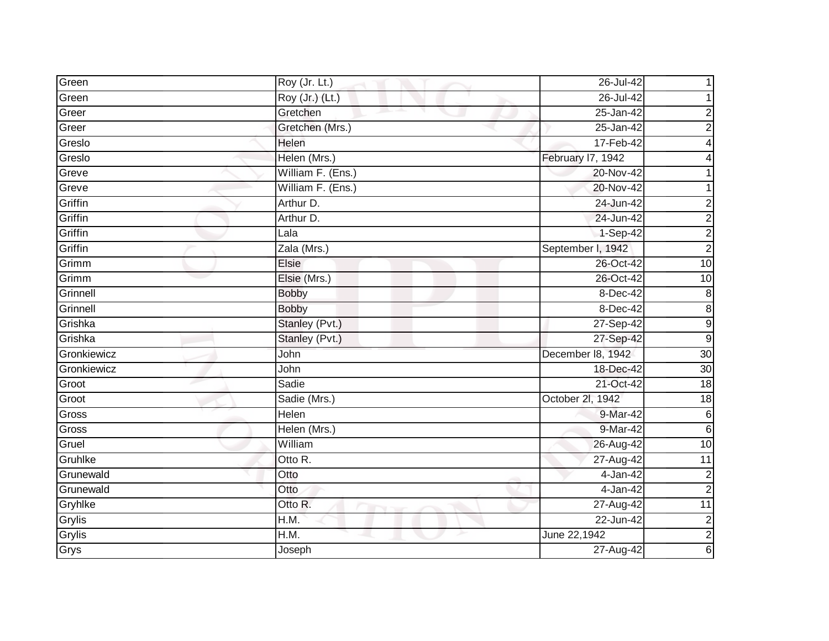| Green       | Roy (Jr. Lt.)     | 26-Jul-42         |                         |
|-------------|-------------------|-------------------|-------------------------|
| Green       | Roy (Jr.) (Lt.)   | 26-Jul-42         |                         |
| Greer       | Gretchen<br>m.    | $25 - Jan-42$     | 2                       |
| Greer       | Gretchen (Mrs.)   | 25-Jan-42         | $\overline{c}$          |
| Greslo      | Helen             | 17-Feb-42         | 4                       |
| Greslo      | Helen (Mrs.)      | February 17, 1942 |                         |
| Greve       | William F. (Ens.) | 20-Nov-42         |                         |
| Greve       | William F. (Ens.) | 20-Nov-42         |                         |
| Griffin     | Arthur D.         | 24-Jun-42         | 2                       |
| Griffin     | Arthur D.         | 24-Jun-42         | $\overline{2}$          |
| Griffin     | Lala              | 1-Sep-42          | $\overline{c}$          |
| Griffin     | Zala (Mrs.)       | September I, 1942 | $\overline{2}$          |
| Grimm       | Elsie             | 26-Oct-42         | 10                      |
| Grimm       | Elsie (Mrs.)      | 26-Oct-42         | 10                      |
| Grinnell    | <b>Bobby</b>      | 8-Dec-42          | 8                       |
| Grinnell    | <b>Bobby</b>      | 8-Dec-42          | $\bf 8$                 |
| Grishka     | Stanley (Pvt.)    | 27-Sep-42         | 9                       |
| Grishka     | Stanley (Pvt.)    | 27-Sep-42         | $9\,$                   |
| Gronkiewicz | John              | December 18, 1942 | 30                      |
| Gronkiewicz | John              | 18-Dec-42         | 30                      |
| Groot       | Sadie             | 21-Oct-42         | 18                      |
| Groot       | Sadie (Mrs.)      | October 2l, 1942  | $\overline{18}$         |
| Gross       | Helen             | 9-Mar-42          | $\,6$                   |
| Gross       | Helen (Mrs.)      | 9-Mar-42          | $\,6$                   |
| Gruel       | William           | 26-Aug-42         | 10                      |
| Gruhlke     | Otto R.           | $27-Aug-42$       | $\overline{11}$         |
| Grunewald   | Otto              | 4-Jan-42          | $\mathbf 2$             |
| Grunewald   | Otto              | 4-Jan-42          | $\overline{2}$          |
| Gryhlke     | Otto R.           | $27 - Aug-42$     | $\overline{11}$         |
| Grylis      | H.M.              | 22-Jun-42         | $\overline{\mathbf{c}}$ |
| Grylis      | H.M.              | June 22,1942      | $\overline{2}$          |
| Grys        | Joseph            | 27-Aug-42         | 6                       |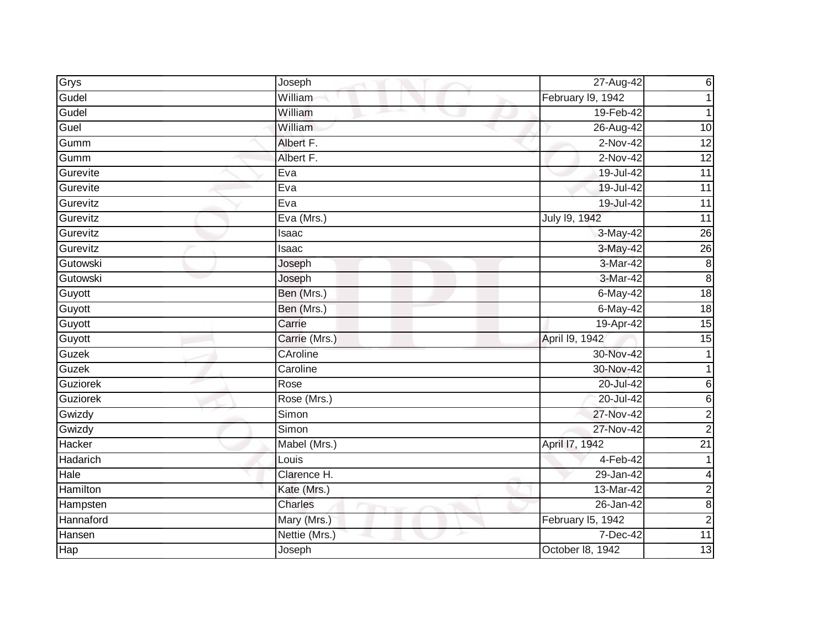| Grys            | Joseph         | 27-Aug-42         | $\,6$                   |
|-----------------|----------------|-------------------|-------------------------|
| Gudel           | William        | February I9, 1942 |                         |
| Gudel           | William<br>m.  | 19-Feb-42         |                         |
| Guel            | William        | 26-Aug-42         | 10                      |
| Gumm            | Albert F.      | $2-Nov-42$        | 12                      |
| Gumm            | Albert F.      | $2-Nov-42$        | 12                      |
| Gurevite        | Eva            | 19-Jul-42         | $\overline{11}$         |
| Gurevite        | Eva            | 19-Jul-42         | $\overline{11}$         |
| Gurevitz        | Eva            | 19-Jul-42         | 11                      |
| Gurevitz        | Eva (Mrs.)     | July 19, 1942     | 11                      |
| Gurevitz        | Isaac          | 3-May-42          | 26                      |
| Gurevitz        | Isaac          | 3-May-42          | 26                      |
| Gutowski        | Joseph         | 3-Mar-42          | $\infty$                |
| Gutowski        | Joseph         | 3-Mar-42          | $\overline{\infty}$     |
| Guyott          | Ben (Mrs.)     | $6$ -May-42       | $\frac{1}{8}$           |
| Guyott          | Ben (Mrs.)     | 6-May-42          | $\overline{18}$         |
| Guyott          | Carrie         | 19-Apr-42         | $\overline{15}$         |
| Guyott          | Carrie (Mrs.)  | April 19, 1942    | 15                      |
| Guzek           | CAroline       | 30-Nov-42         | 1                       |
| Guzek           | Caroline       | 30-Nov-42         |                         |
| Guziorek        | Rose           | 20-Jul-42         | 6                       |
| <b>Guziorek</b> | Rose (Mrs.)    | 20-Jul-42         | 6                       |
| Gwizdy          | Simon          | 27-Nov-42         | $\overline{\mathbf{c}}$ |
| Gwizdy          | Simon          | 27-Nov-42         | $\overline{2}$          |
| Hacker          | Mabel (Mrs.)   | April 17, 1942    | $\overline{21}$         |
| Hadarich        | Louis          | $4-Feb-42$        | 1                       |
| Hale            | Clarence H.    | 29-Jan-42         | 4                       |
| Hamilton        | Kate (Mrs.)    | 13-Mar-42         | $\overline{c}$          |
| Hampsten        | <b>Charles</b> | 26-Jan-42         | $\bf8$                  |
| Hannaford       | Mary (Mrs.)    | February I5, 1942 | $\mathbf 2$             |
| Hansen          | Nettie (Mrs.)  | 7-Dec-42          | 11                      |
| <b>Hap</b>      | Joseph         | October 18, 1942  | 13                      |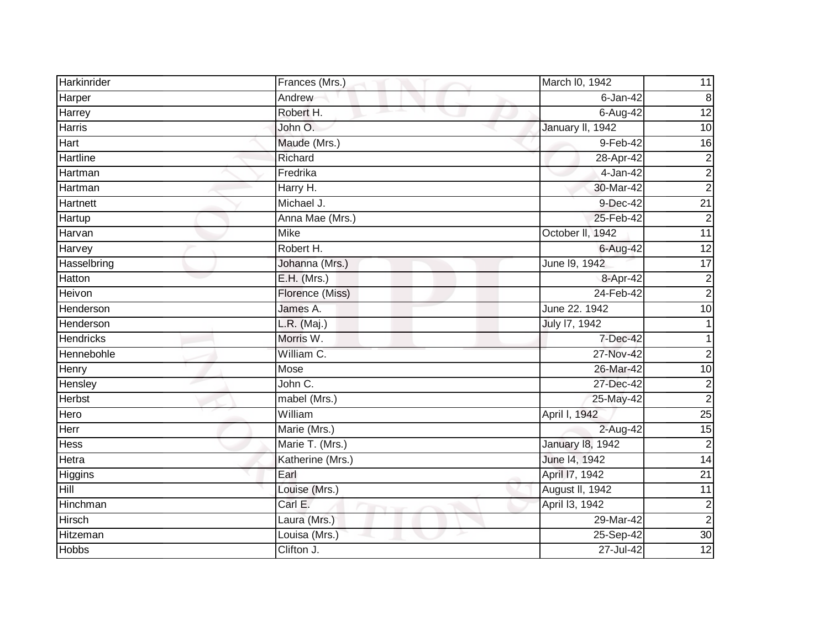| Harkinrider      | Frances (Mrs.)   | March I0, 1942          | 11               |
|------------------|------------------|-------------------------|------------------|
| Harper           | Andrew           | $6$ -Jan-42             | $\boldsymbol{8}$ |
| Harrey           | Robert H.        | $6 - Aug-42$            | $\overline{12}$  |
| Harris           | John O.          | January II, 1942        | $\overline{10}$  |
| <b>Hart</b>      | Maude (Mrs.)     | 9-Feb-42                | $\overline{6}$   |
| <b>Hartline</b>  | Richard          | 28-Apr- $42$            | $\overline{c}$   |
| Hartman          | Fredrika         | 4-Jan-42                | $\overline{c}$   |
| Hartman          | Harry H.         | 30-Mar-42               | $\overline{2}$   |
| Hartnett         | Michael J.       | 9-Dec-42                | $\overline{21}$  |
| Hartup           | Anna Mae (Mrs.)  | 25-Feb-42               | $\overline{2}$   |
| Harvan           | Mike             | October II, 1942        | 11               |
| Harvey           | Robert H.        | 6-Aug-42                | 12               |
| Hasselbring      | Johanna (Mrs.)   | June 19, 1942           | $\overline{17}$  |
| Hatton           | $E.H.$ (Mrs.)    | 8-Apr-42                | $\overline{c}$   |
| Heivon           | Florence (Miss)  | 24-Feb-42               | $\overline{c}$   |
| Henderson        | James A.         | June 22. 1942           | 10               |
| Henderson        | $L.R.$ (Maj.)    | July 17, 1942           |                  |
| <b>Hendricks</b> | Morris W.        | 7-Dec-42                | 1                |
| Hennebohle       | William C.       | 27-Nov-42               | $\overline{2}$   |
| Henry            | Mose             | 26-Mar-42               | $\overline{10}$  |
| Hensley          | John C.          | 27-Dec-42               | $\overline{c}$   |
| <b>Herbst</b>    | mabel (Mrs.)     | 25-May-42               | $\overline{2}$   |
| Hero             | William          | April I, 1942           | $\overline{25}$  |
| Herr             | Marie (Mrs.)     | 2-Aug-42                | 15               |
| Hess             | Marie T. (Mrs.)  | <b>January 18, 1942</b> | $\overline{c}$   |
| Hetra            | Katherine (Mrs.) | June 14, 1942           | $\overline{14}$  |
| Higgins          | Earl             | April 17, 1942          | $\overline{21}$  |
| Hill             | Louise (Mrs.)    | August II, 1942         | 11               |
| Hinchman         | Carl E.          | April 13, 1942          | $\overline{c}$   |
| <b>Hirsch</b>    | Laura (Mrs.)     | 29-Mar-42               | $\overline{2}$   |
| Hitzeman         | Louisa (Mrs.)    | 25-Sep-42               | $\overline{30}$  |
| <b>Hobbs</b>     | Clifton J.       | 27-Jul-42               | 12               |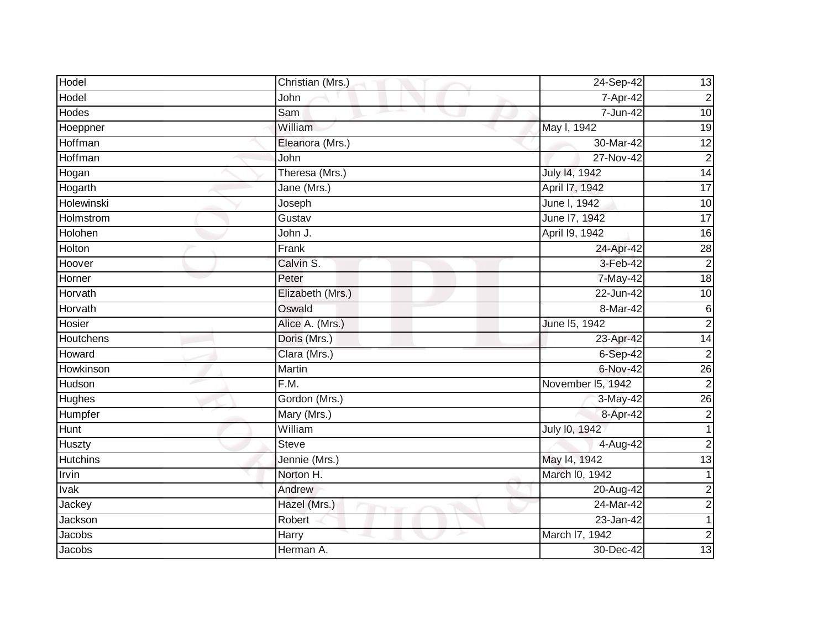| Hodel            | Christian (Mrs.) | 24-Sep-42         | 13              |
|------------------|------------------|-------------------|-----------------|
| Hodel            | John             | 7-Apr-42          | $\overline{c}$  |
| Hodes            | Sam              | 7-Jun-42          | 10              |
| Hoeppner         | William          | May I, 1942       | 19              |
| Hoffman          | Eleanora (Mrs.)  | 30-Mar-42         | 12              |
| Hoffman          | John             | $27-Nov-42$       | $\overline{c}$  |
| Hogan            | Theresa (Mrs.)   | July 14, 1942     | 14              |
| Hogarth          | Jane (Mrs.)      | April 17, 1942    | $\overline{17}$ |
| Holewinski       | Joseph           | June I, 1942      | $\overline{10}$ |
| <b>Holmstrom</b> | Gustav           | June 17, 1942     | $\overline{17}$ |
| Holohen          | John J.          | April 19, 1942    | $\overline{16}$ |
| Holton           | Frank            | 24-Apr-42         | 28              |
| Hoover           | Calvin S.        | 3-Feb-42          | $\overline{2}$  |
| Horner           | Peter            | 7-May-42          | $\frac{1}{8}$   |
| Horvath          | Elizabeth (Mrs.) | 22-Jun-42         | 10              |
| Horvath          | Oswald           | 8-Mar-42          | $6\phantom{a}$  |
| Hosier           | Alice A. (Mrs.)  | June 15, 1942     | $\overline{2}$  |
| Houtchens        | Doris (Mrs.)     | 23-Apr-42         | 14              |
| Howard           | Clara (Mrs.)     | $6-Sep-42$        | $\overline{2}$  |
| Howkinson        | <b>Martin</b>    | 6-Nov-42          | $\overline{26}$ |
| Hudson           | F.M.             | November I5, 1942 | $\overline{c}$  |
| <b>Hughes</b>    | Gordon (Mrs.)    | 3-May-42          | $\overline{26}$ |
| Humpfer          | Mary (Mrs.)      | 8-Apr-42          | $\overline{c}$  |
| Hunt             | William          | July 10, 1942     | $\mathbf{1}$    |
| Huszty           | Steve            | 4-Aug-42          | $\overline{2}$  |
| <b>Hutchins</b>  | Jennie (Mrs.)    | May 14, 1942      | $\overline{13}$ |
| Irvin            | Norton H.        | March I0, 1942    |                 |
| Ivak             | Andrew           | 20-Aug-42         | $\overline{2}$  |
| Jackey           | Hazel (Mrs.)     | 24-Mar-42         | $\overline{a}$  |
| Jackson          | Robert           | 23-Jan-42         | $\mathbf{1}$    |
| Jacobs           | Harry            | March I7, 1942    | $\overline{2}$  |
| Jacobs           | Herman A.        | 30-Dec-42         | 13              |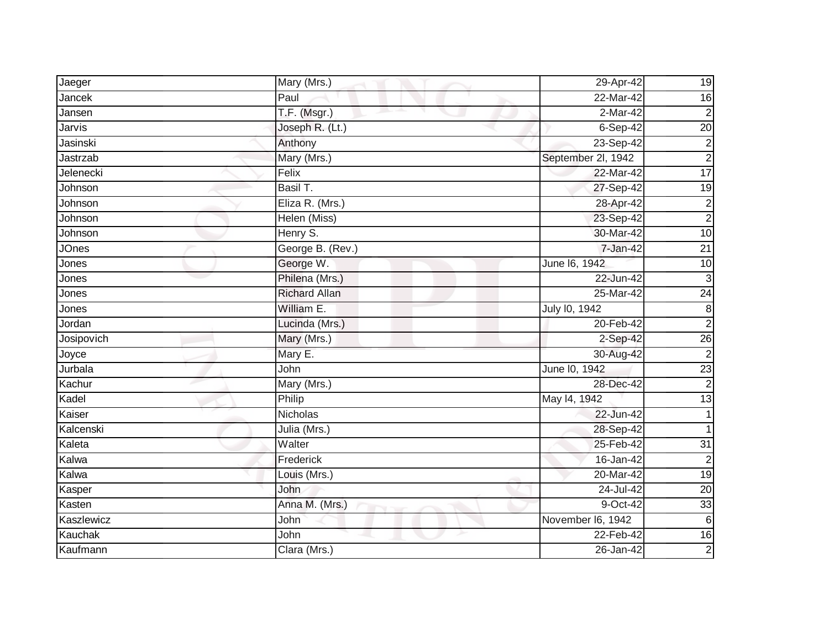| Jaeger       | Mary (Mrs.)          | 29-Apr-42          | 19               |
|--------------|----------------------|--------------------|------------------|
| Jancek       | Paul                 | 22-Mar-42          | 16               |
| Jansen       | T.F. (Msgr.)         | $2-Mar-42$         | $\overline{c}$   |
| Jarvis       | Joseph R. (Lt.)      | 6-Sep-42           | $\overline{20}$  |
| Jasinski     | Anthony              | 23-Sep-42          | $\overline{c}$   |
| Jastrzab     | Mary (Mrs.)          | September 2l, 1942 | $\overline{c}$   |
| Jelenecki    | Felix                | 22-Mar-42          | 17               |
| Johnson      | Basil T.             | 27-Sep-42          | $\overline{19}$  |
| Johnson      | Eliza R. (Mrs.)      | 28-Apr-42          | $\mathbf 2$      |
| Johnson      | Helen (Miss)         | 23-Sep-42          | $\overline{2}$   |
| Johnson      | Henry S.             | 30-Mar-42          | 10               |
| <b>JOnes</b> | George B. (Rev.)     | 7-Jan-42           | $\overline{21}$  |
| Jones        | George W.            | June 16, 1942      | 10               |
| Jones        | Philena (Mrs.)       | 22-Jun-42          | 3                |
| Jones        | <b>Richard Allan</b> | 25-Mar-42          | 24               |
| Jones        | William E.           | July 10, 1942      | $\boldsymbol{8}$ |
| Jordan       | Lucinda (Mrs.)       | 20-Feb-42          | $\overline{2}$   |
| Josipovich   | Mary (Mrs.)          | 2-Sep-42           | 26               |
| Joyce        | Mary E.              | 30-Aug-42          | $\overline{2}$   |
| Jurbala      | John                 | June 10, 1942      | 23               |
| Kachur       | Mary (Mrs.)          | 28-Dec-42          | $\overline{2}$   |
| Kadel        | Philip               | May 14, 1942       | 13               |
| Kaiser       | Nicholas             | 22-Jun-42          |                  |
| Kalcenski    | Julia (Mrs.)         | 28-Sep-42          | 1                |
| Kaleta       | Walter               | 25-Feb-42          | $\overline{31}$  |
| Kalwa        | Frederick            | 16-Jan-42          | $\overline{2}$   |
| Kalwa        | Louis (Mrs.)         | 20-Mar-42          | 19               |
| Kasper       | John                 | 24-Jul-42          | $\overline{20}$  |
| Kasten       | Anna M. (Mrs.)       | 9-Oct-42           | 33               |
| Kaszlewicz   | John                 | November I6, 1942  | 6                |
| Kauchak      | John                 | 22-Feb-42          | 16               |
| Kaufmann     | Clara (Mrs.)         | 26-Jan-42          | $\overline{2}$   |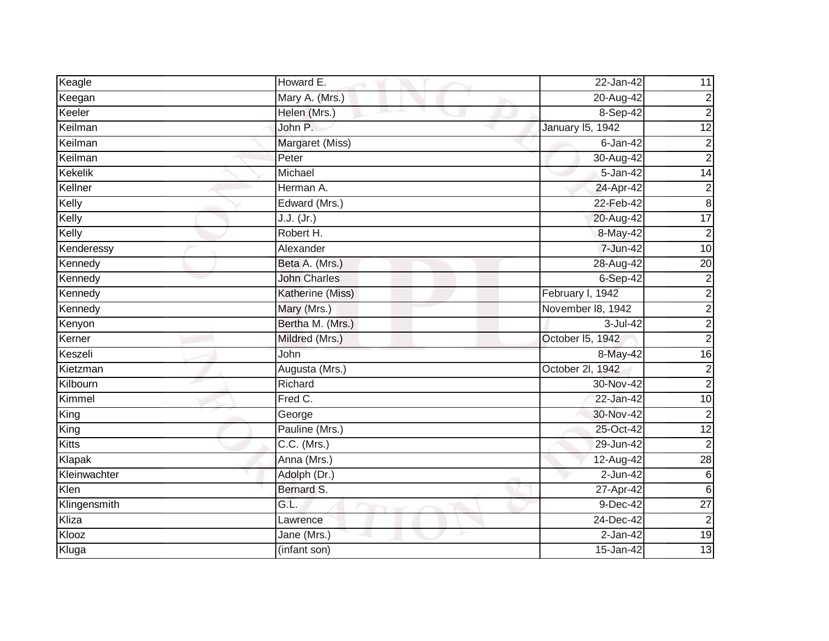| Keagle       | Howard E.           | 22-Jan-42         | 11              |
|--------------|---------------------|-------------------|-----------------|
| Keegan       | Mary A. (Mrs.)      | 20-Aug-42         | $\overline{c}$  |
| Keeler       | Helen (Mrs.)        | 8-Sep-42          | $\overline{c}$  |
| Keilman      | John P.             | January 15, 1942  | $\overline{12}$ |
| Keilman      | Margaret (Miss)     | $6 - Jan-42$      | $\overline{c}$  |
| Keilman      | Peter               | 30-Aug-42         | $\overline{a}$  |
| Kekelik      | Michael             | 5-Jan-42          | $\overline{14}$ |
| Kellner      | Herman A.           | 24-Apr-42         | $\overline{c}$  |
| Kelly        | Edward (Mrs.)       | 22-Feb-42         | $\bf 8$         |
| Kelly        | J.J. (Jr.)          | 20-Aug-42         | 17              |
| Kelly        | Robert H.           | 8-May-42          | $\overline{2}$  |
| Kenderessy   | Alexander           | 7-Jun-42          | $\overline{10}$ |
| Kennedy      | Beta A. (Mrs.)      | 28-Aug-42         | $\overline{20}$ |
| Kennedy      | <b>John Charles</b> | $6-Sep-42$        | $\overline{2}$  |
| Kennedy      | Katherine (Miss)    | February I, 1942  | $\overline{c}$  |
| Kennedy      | Mary (Mrs.)         | November 18, 1942 | $\overline{2}$  |
| Kenyon       | Bertha M. (Mrs.)    | 3-Jul-42          | $\overline{c}$  |
| Kerner       | Mildred (Mrs.)      | October 15, 1942  | $\overline{2}$  |
| Keszeli      | <b>John</b>         | 8-May-42          | $\overline{16}$ |
| Kietzman     | Augusta (Mrs.)      | October 2l, 1942  | $\overline{c}$  |
| Kilbourn     | Richard             | 30-Nov-42         | $\overline{c}$  |
| Kimmel       | Fred C.             | 22-Jan-42         | 10              |
| King         | George              | 30-Nov-42         | $\overline{2}$  |
| King         | Pauline (Mrs.)      | 25-Oct-42         | 12              |
| Kitts        | $C.C.$ (Mrs.)       | 29-Jun-42         | $\overline{2}$  |
| Klapak       | Anna (Mrs.)         | $12-Aug-42$       | $\overline{28}$ |
| Kleinwachter | Adolph (Dr.)        | $2$ -Jun-42       | $\,6$           |
| Klen         | Bernard S.          | 27-Apr-42         | $6\phantom{.}6$ |
| Klingensmith | GL                  | $9-Dec-42$        | $\overline{27}$ |
| Kliza        | Lawrence            | 24-Dec-42         | $\overline{c}$  |
| Klooz        | Jane (Mrs.)         | 2-Jan-42          | 19              |
| Kluga        | (infant son)        | 15-Jan-42         | 13              |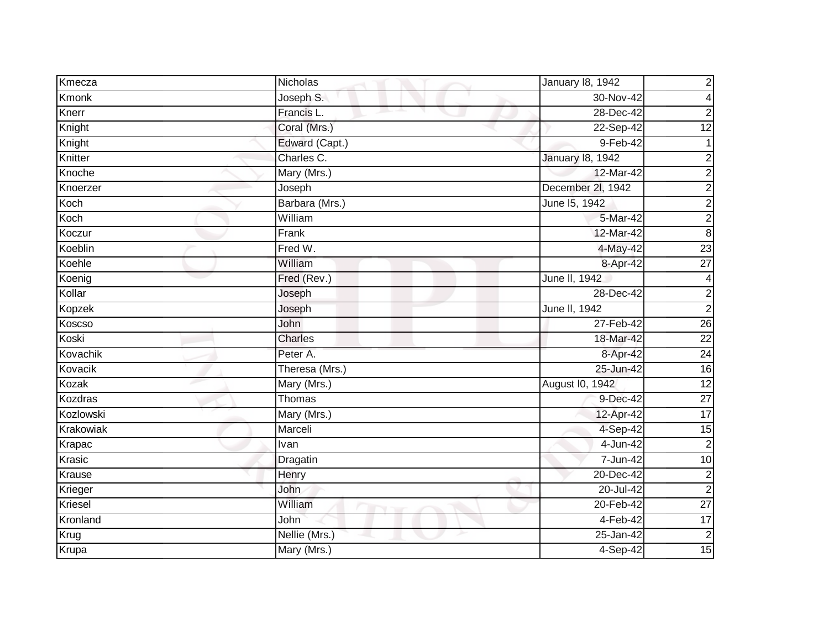| Kmecza         | Nicholas       | January 18, 1942        | $\overline{c}$  |
|----------------|----------------|-------------------------|-----------------|
| <b>Kmonk</b>   | Joseph S.      | 30-Nov-42               | 4               |
| Knerr          | Francis L.     | 28-Dec-42               | $\overline{c}$  |
| Knight         | Coral (Mrs.)   | 22-Sep-42               | $\overline{12}$ |
| Knight         | Edward (Capt.) | $9-Feb-42$              |                 |
| Knitter        | Charles C.     | <b>January 18, 1942</b> | $\overline{c}$  |
| Knoche         | Mary (Mrs.)    | 12-Mar-42               | $\overline{2}$  |
| Knoerzer       | Joseph         | December 2l, 1942       | $\overline{c}$  |
| Koch           | Barbara (Mrs.) | June 15, 1942           | $\overline{c}$  |
| Koch           | William        | 5-Mar-42                | $\overline{2}$  |
| Koczur         | Frank          | 12-Mar-42               | $\bf8$          |
| Koeblin        | Fred W.        | 4-May-42                | 23              |
| Koehle         | William        | 8-Apr-42                | $\overline{27}$ |
| Koenig         | Fred (Rev.)    | June II, 1942           | 4               |
| Kollar         | Joseph         | 28-Dec-42               | $\overline{c}$  |
| Kopzek         | Joseph         | June II, 1942           | $\overline{2}$  |
| Koscso         | John           | 27-Feb-42               | 26              |
| Koski          | <b>Charles</b> | 18-Mar-42               | $\overline{22}$ |
| Kovachik       | Peter A.       | 8-Apr-42                | 24              |
| Kovacik        | Theresa (Mrs.) | 25-Jun-42               | 16              |
| Kozak          | Mary (Mrs.)    | August I0, 1942         | 12              |
| <b>Kozdras</b> | Thomas         | 9-Dec-42                | $\overline{27}$ |
| Kozlowski      | Mary (Mrs.)    | 12-Apr-42               | $\overline{17}$ |
| Krakowiak      | Marceli        | 4-Sep-42                | 15              |
| Krapac         | Ivan           | 4-Jun-42                | $\overline{2}$  |
| Krasic         | Dragatin       | 7-Jun-42                | $\overline{10}$ |
| Krause         | Henry          | 20-Dec-42               | $\overline{c}$  |
| Krieger        | John           | 20-Jul-42               | $\overline{2}$  |
| Kriesel        | William        | 20-Feb-42               | $\overline{27}$ |
| Kronland       | John           | $4-Feb-42$              | 17              |
| Krug           | Nellie (Mrs.)  | 25-Jan-42               | $\overline{2}$  |
| Krupa          | Mary (Mrs.)    | $4-Sep-42$              | 15              |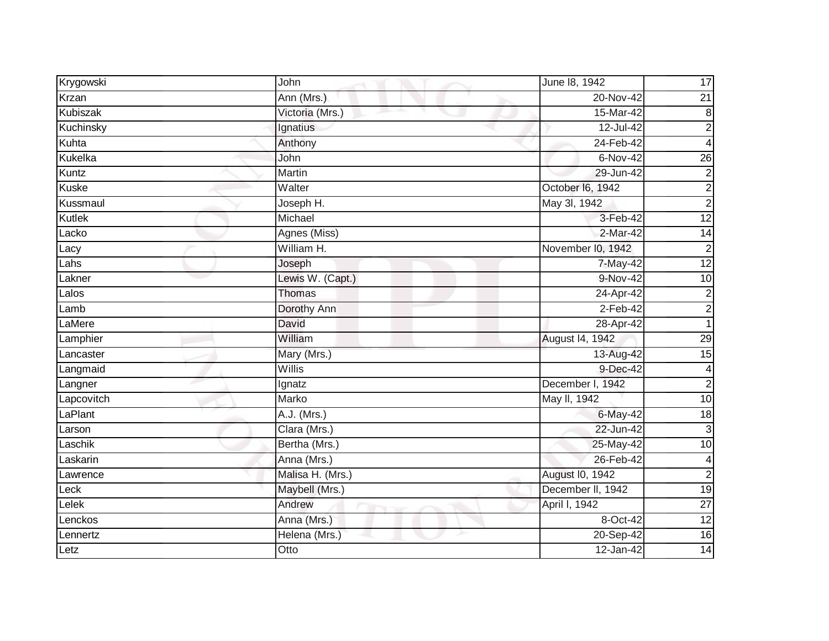| Krygowski         | John             | June 18, 1942     | 17                      |
|-------------------|------------------|-------------------|-------------------------|
| Krzan             | Ann (Mrs.)       | 20-Nov-42         | $\overline{21}$         |
| <b>Kubiszak</b>   | Victoria (Mrs.)  | 15-Mar-42         | 8                       |
| Kuchinsky         | Ignatius         | 12-Jul-42         | $\overline{2}$          |
| Kuhta             | Anthony          | 24-Feb-42         | 4                       |
| Kukelka           | John             | 6-Nov-42          | $\overline{26}$         |
| Kuntz             | Martin           | 29-Jun-42         | $\overline{c}$          |
| Kuske             | Walter           | October I6, 1942  | $\overline{c}$          |
| Kussmaul          | Joseph H.        | May 3l, 1942      | $\overline{2}$          |
| Kutlek            | Michael          | 3-Feb-42          | $\overline{12}$         |
| Lacko             | Agnes (Miss)     | 2-Mar-42          | $\overline{14}$         |
| Lacy              | William H.       | November I0, 1942 | $\overline{c}$          |
| Lahs              | Joseph           | 7-May-42          | 12                      |
| Lakner            | Lewis W. (Capt.) | 9-Nov-42          | $\overline{10}$         |
| L <sub>alos</sub> | Thomas           | 24-Apr-42         | $\overline{c}$          |
| Lamb              | Dorothy Ann      | $2-Feb-42$        | $\overline{c}$          |
| LaMere            | David            | 28-Apr-42         | $\mathbf 1$             |
| Lamphier          | William          | August 14, 1942   | 29                      |
| Lancaster         | Mary (Mrs.)      | 13-Aug-42         | $\overline{15}$         |
| Langmaid          | Willis           | 9-Dec-42          | $\overline{\mathbf{4}}$ |
| Langner           | Ignatz           | December I, 1942  | $\overline{c}$          |
| Lapcovitch        | Marko            | May II, 1942      | 10                      |
| LaPlant           | A.J. (Mrs.)      | 6-May-42          | $\frac{1}{8}$           |
| Larson            | Clara (Mrs.)     | 22-Jun-42         | $\mathbf{3}$            |
| Laschik           | Bertha (Mrs.)    | 25-May-42         | $\overline{10}$         |
| Laskarin          | Anna (Mrs.)      | 26-Feb-42         | $\overline{\mathbf{4}}$ |
| Lawrence          | Malisa H. (Mrs.) | August I0, 1942   | $\overline{2}$          |
| Leck              | Maybell (Mrs.)   | December II, 1942 | $\overline{19}$         |
| Lelek             | Andrew           | April I, 1942     | $\overline{27}$         |
| Lenckos           | Anna (Mrs.)      | 8-Oct-42          | $\overline{12}$         |
| Lennertz          | Helena (Mrs.)    | 20-Sep-42         | 16                      |
| Letz              | Otto             | $12$ -Jan-42      | 14                      |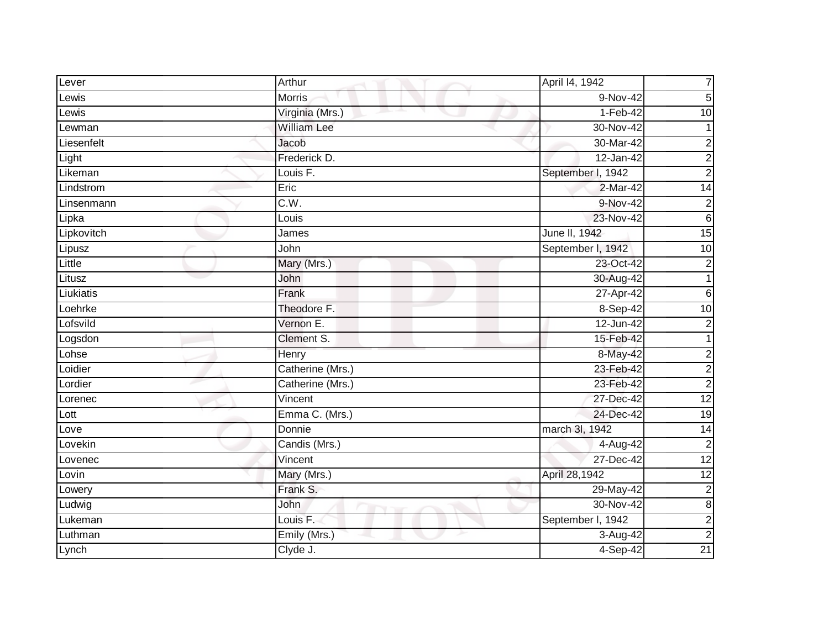| Lever      | Arthur                | April 14, 1942    | 7                       |
|------------|-----------------------|-------------------|-------------------------|
| Lewis      | <b>Morris</b>         | 9-Nov-42          | 5                       |
| Lewis      | Virginia (Mrs.)       | $1-Feb-42$        | $\overline{10}$         |
| Lewman     | <b>William Lee</b>    | 30-Nov-42         | 1                       |
| Liesenfelt | Jacob                 | 30-Mar-42         | $\overline{\mathbf{c}}$ |
| Light      | Frederick D.          | 12-Jan-42         | $\overline{\mathbf{c}}$ |
| Likeman    | Louis F.              | September I, 1942 | $\overline{2}$          |
| Lindstrom  | Eric                  | 2-Mar-42          | $\overline{14}$         |
| Linsenmann | C.W.                  | 9-Nov-42          | $\overline{c}$          |
| Lipka      | Louis                 | 23-Nov-42         | $\sigma$                |
| Lipkovitch | James                 | June II, 1942     | $\overline{15}$         |
| Lipusz     | John                  | September I, 1942 | $\overline{10}$         |
| Little     | Mary (Mrs.)           | 23-Oct-42         | $\boldsymbol{2}$        |
| Litusz     | John                  | 30-Aug-42         | $\mathbf{1}$            |
| Liukiatis  | Frank                 | 27-Apr-42         | $\,6$                   |
| Loehrke    | Theodore F.           | 8-Sep-42          | 10                      |
| Lofsvild   | Vernon E.             | $12$ -Jun-42      | $\mathbf 2$             |
| Logsdon    | Clement S.            | 15-Feb-42         | $\mathbf{1}$            |
| Lohse      | Henry                 | 8-May-42          | $\overline{2}$          |
| Loidier    | Catherine (Mrs.)      | 23-Feb-42         | $\overline{2}$          |
| Lordier    | Catherine (Mrs.)      | 23-Feb-42         | $\overline{2}$          |
| Lorenec    | Vincent               | 27-Dec-42         | 12                      |
| Lott       | Emma C. (Mrs.)        | 24-Dec-42         | $\overline{19}$         |
| Love       | Donnie                | march 3l, 1942    | $\overline{14}$         |
| Lovekin    | Candis (Mrs.)         | 4-Aug-42          | $\overline{c}$          |
| Lovenec    | Vincent               | 27-Dec-42         | 12                      |
| Lovin      | Mary (Mrs.)           | April 28,1942     | 12                      |
| Lowery     | Frank S.              | 29-May-42         | $\mathbf 2$             |
| Ludwig     | John<br><b>Marine</b> | 30-Nov-42         | 8                       |
| Lukeman    | Louis <sub>F.</sub>   | September I, 1942 | $\boldsymbol{2}$        |
| Luthman    | Emily (Mrs.)          | 3-Aug-42          | $\overline{c}$          |
| Lynch      | Clyde J.              | 4-Sep-42          | 21                      |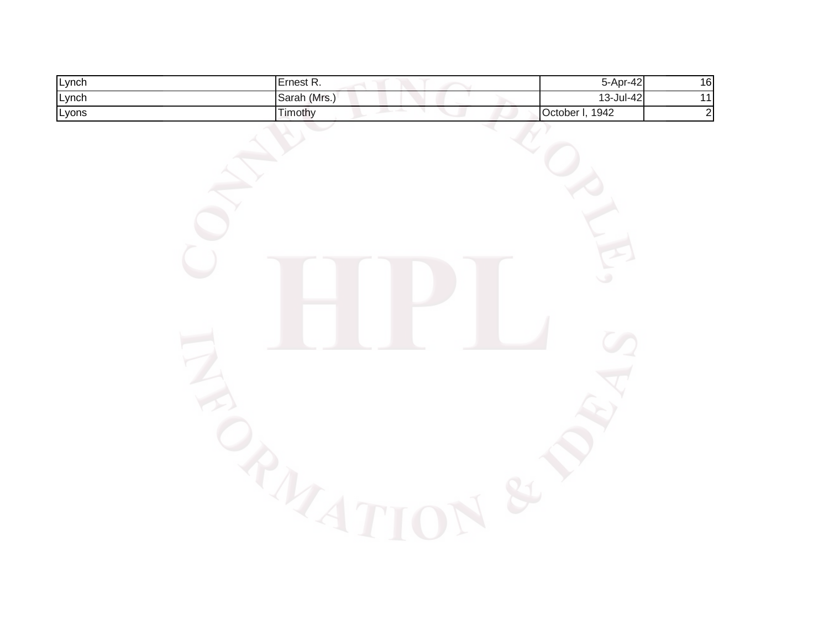| Lynch | Ernest R.                              | 5-Apr-42        | $\frac{16}{11}$ |
|-------|----------------------------------------|-----------------|-----------------|
| Lynch | Sarah (Mrs.)                           | 13-Jul-42       |                 |
| Lyons | Timothy<br>and the second second<br>٧. | October I, 1942 | $\overline{2}$  |
|       |                                        |                 |                 |
|       |                                        |                 |                 |
|       |                                        |                 |                 |
|       |                                        |                 |                 |
|       |                                        |                 |                 |
|       |                                        |                 |                 |
|       |                                        |                 |                 |
|       |                                        | $\circ$         |                 |
|       |                                        |                 |                 |
|       |                                        |                 |                 |
|       |                                        |                 |                 |
|       |                                        |                 |                 |
|       |                                        |                 |                 |
|       |                                        |                 |                 |
|       |                                        |                 |                 |
|       |                                        |                 |                 |
|       |                                        |                 |                 |
|       |                                        |                 |                 |
|       |                                        |                 |                 |
|       | $\lhd$                                 |                 |                 |
|       |                                        |                 |                 |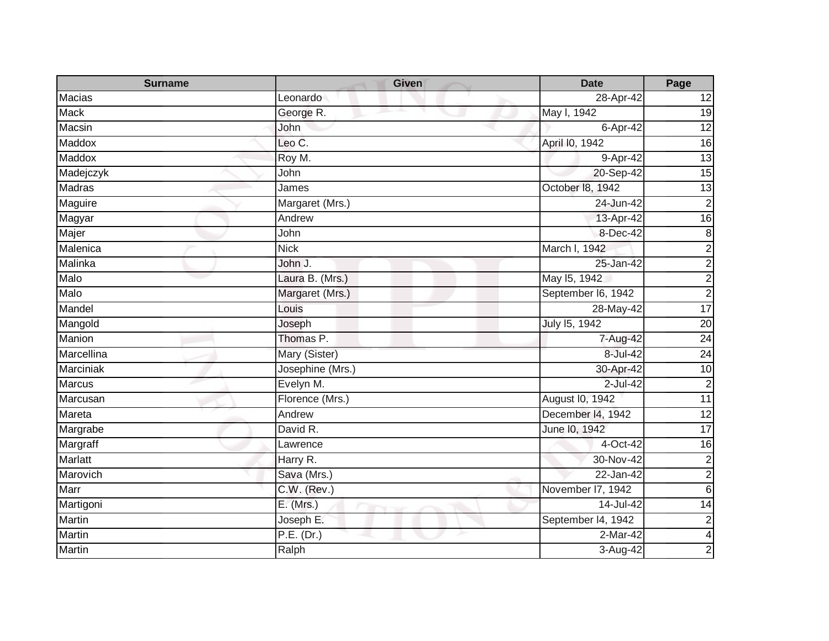| <b>Surname</b>   | <b>Given</b>     | <b>Date</b>        | Page                    |
|------------------|------------------|--------------------|-------------------------|
| Macias           | Leonardo         | 28-Apr-42          | 12                      |
| <b>Mack</b>      | George R.        | May I, 1942        | 19                      |
| Macsin           | John             | 6-Apr-42           | $\overline{12}$         |
| Maddox           | Leo C.           | April I0, 1942     | $\overline{6}$          |
| Maddox           | Roy M.           | 9-Apr-42           | 13                      |
| Madejczyk        | John             | 20-Sep-42          | 15                      |
| Madras           | James            | October 18, 1942   | $\overline{13}$         |
| Maguire          | Margaret (Mrs.)  | 24-Jun-42          | $\mathbf 2$             |
| Magyar           | Andrew           | 13-Apr-42          | 16                      |
| Majer            | John             | 8-Dec-42           | $\bf 8$                 |
| Malenica         | <b>Nick</b>      | March I, 1942      | $\overline{c}$          |
| Malinka          | John J.          | 25-Jan-42          | $\overline{2}$          |
| Malo             | Laura B. (Mrs.)  | May 15, 1942       | $\overline{2}$          |
| Malo             | Margaret (Mrs.)  | September I6, 1942 | $\overline{2}$          |
| Mandel           | Louis            | 28-May-42          | 17                      |
| Mangold          | Joseph           | July 15, 1942      | $\overline{20}$         |
| Manion           | Thomas P.        | 7-Aug-42           | 24                      |
| Marcellina       | Mary (Sister)    | 8-Jul-42           | 24                      |
| <b>Marciniak</b> | Josephine (Mrs.) | 30-Apr-42          | 10                      |
| <b>Marcus</b>    | Evelyn M.        | 2-Jul-42           | $\mathbf 2$             |
| Marcusan         | Florence (Mrs.)  | August I0, 1942    | 11                      |
| Mareta           | Andrew           | December 14, 1942  | $\overline{12}$         |
| Margrabe         | David R.         | June 10, 1942      | 17                      |
| Margraff         | Lawrence         | 4-Oct-42           | 16                      |
| Marlatt          | Harry R.         | 30-Nov-42          | $\overline{c}$          |
| Marovich         | Sava (Mrs.)      | $22$ -Jan-42       | $\overline{2}$          |
| Marr             | C.W. (Rev.)      | November I7, 1942  | $\overline{6}$          |
| Martigoni        | E. (Mrs.)        | 14-Jul-42          | $\overline{14}$         |
| <b>Martin</b>    | Joseph E.        | September 14, 1942 | $\mathbf 2$             |
| <b>Martin</b>    | P.E. (Dr.)       | 2-Mar-42           | $\overline{\mathbf{4}}$ |
| Martin           | Ralph            | 3-Aug-42           | 2                       |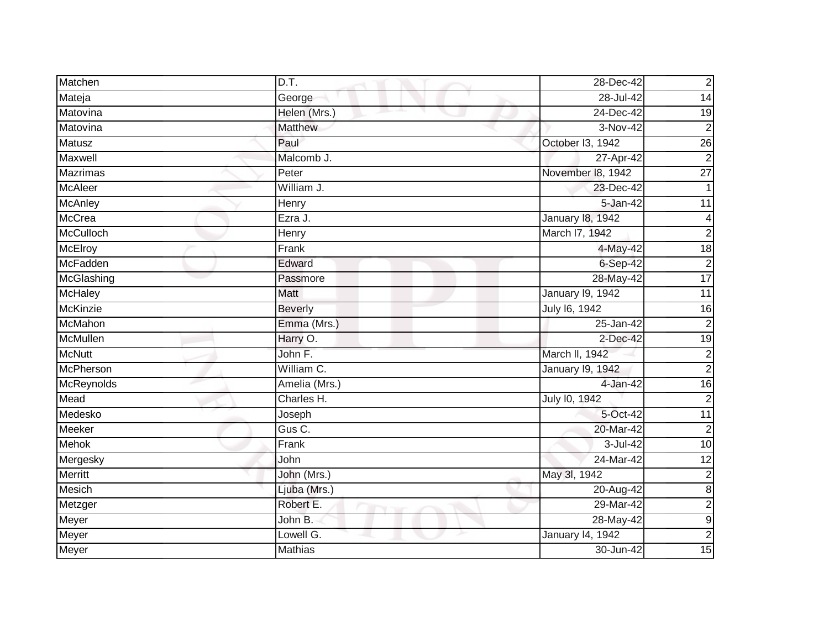| Matchen          | D.T.           | 28-Dec-42               | $\overline{c}$   |
|------------------|----------------|-------------------------|------------------|
| Mateja           | George         | 28-Jul-42               | 14               |
| Matovina         | Helen (Mrs.)   | 24-Dec-42               | 19               |
| Matovina         | Matthew        | $\overline{3}$ -Nov-42  | $\overline{2}$   |
| <b>Matusz</b>    | Paul           | October 13, 1942        | 26               |
| Maxwell          | Malcomb J.     | 27-Apr-42               | $\overline{2}$   |
| <b>Mazrimas</b>  | Peter          | November 18, 1942       | $\overline{27}$  |
| <b>McAleer</b>   | William J.     | 23-Dec-42               |                  |
| <b>McAnley</b>   | Henry          | 5-Jan-42                | 11               |
| <b>McCrea</b>    | Ezra J.        | January 18, 1942        | $\overline{4}$   |
| <b>McCulloch</b> | Henry          | March I7, 1942          | $\overline{c}$   |
| <b>McElroy</b>   | Frank          | 4-May-42                | $\overline{18}$  |
| McFadden         | Edward         | $6-Sep-42$              | $\overline{2}$   |
| McGlashing       | Passmore       | 28-May-42               | $\overline{17}$  |
| <b>McHaley</b>   | Matt           | <b>January 19, 1942</b> | 11               |
| <b>McKinzie</b>  | <b>Beverly</b> | July 16, 1942           | 16               |
| McMahon          | Emma (Mrs.)    | 25-Jan-42               | $\overline{2}$   |
| McMullen         | Harry O.       | 2-Dec-42                | 19               |
| <b>McNutt</b>    | John F.        | March II, 1942          | $\overline{c}$   |
| <b>McPherson</b> | William C.     | <b>January 19, 1942</b> | $\overline{2}$   |
| McReynolds       | Amelia (Mrs.)  | 4-Jan-42                | 16               |
| Mead             | Charles H.     | July 10, 1942           | $\overline{2}$   |
| Medesko          | Joseph         | 5-Oct-42                | $\overline{11}$  |
| Meeker           | Gus C.         | 20-Mar-42               | $\overline{c}$   |
| Mehok            | Frank          | 3-Jul-42                | 10               |
| Mergesky         | John           | 24-Mar-42               | 12               |
| <b>Merritt</b>   | John (Mrs.)    | May 3l, 1942            | $\overline{c}$   |
| Mesich           | Ljuba (Mrs.)   | 20-Aug-42               | $\infty$         |
| Metzger          | Robert E.      | 29-Mar-42               | $\overline{a}$   |
| Meyer            | John B.        | 28-May-42               | $\boldsymbol{9}$ |
| Meyer            | Lowell G.      | January 14, 1942        | $\overline{2}$   |
| Meyer            | <b>Mathias</b> | 30-Jun-42               | 15               |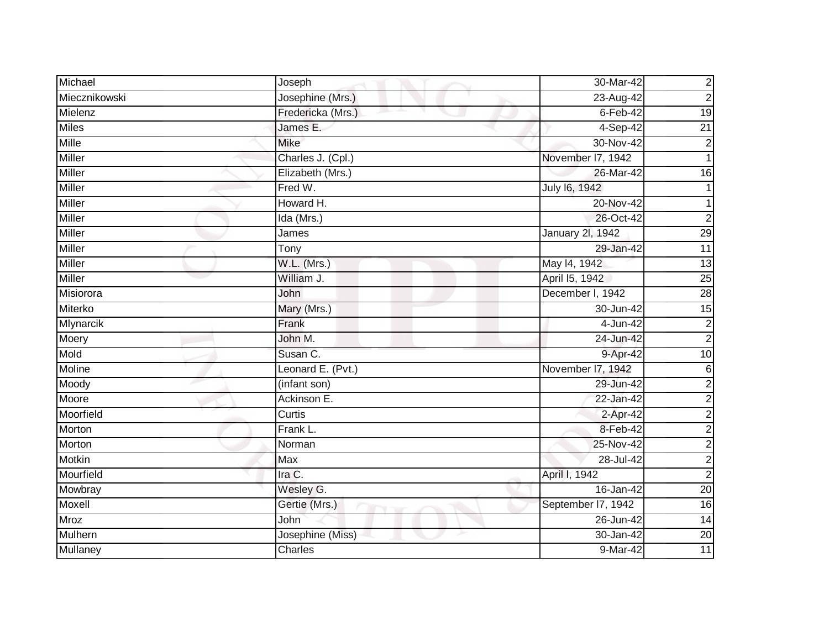| Michael          | Joseph            | 30-Mar-42               | $\overline{c}$  |
|------------------|-------------------|-------------------------|-----------------|
| Miecznikowski    | Josephine (Mrs.)  | 23-Aug-42               | $\overline{c}$  |
| Mielenz          | Fredericka (Mrs.) | $6$ -Feb-42             | $\overline{19}$ |
| <b>Miles</b>     | James E.          | 4-Sep-42                | $\overline{21}$ |
| <b>Mille</b>     | <b>Mike</b>       | 30-Nov-42               | $\overline{c}$  |
| Miller           | Charles J. (Cpl.) | November 17, 1942       | 1               |
| Miller           | Elizabeth (Mrs.)  | 26-Mar-42               | 16              |
| Miller           | Fred W.           | July 16, 1942           |                 |
| Miller           | Howard H.         | 20-Nov-42               |                 |
| <b>Miller</b>    | Ida (Mrs.)        | 26-Oct-42               | $\overline{2}$  |
| Miller           | James             | <b>January 2l, 1942</b> | 29              |
| Miller           | Tony              | 29-Jan-42               | $\overline{11}$ |
| <b>Miller</b>    | W.L. (Mrs.)       | May 14, 1942            | $\overline{13}$ |
| <b>Miller</b>    | William J.        | April 15, 1942          | $\overline{25}$ |
| Misiorora        | John              | December I, 1942        | 28              |
| Miterko          | Mary (Mrs.)       | 30-Jun-42               | $\overline{15}$ |
| <b>Mlynarcik</b> | Frank             | 4-Jun-42                | $\overline{2}$  |
| Moery            | John M.           | 24-Jun-42               | $\overline{2}$  |
| Mold             | Susan C.          | 9-Apr-42                | 10              |
| Moline           | Leonard E. (Pvt.) | November I7, 1942       | 6               |
| Moody            | (infant son)      | 29-Jun-42               | $\overline{c}$  |
| Moore            | Ackinson E.       | 22-Jan-42               | $\overline{2}$  |
| Moorfield        | Curtis            | 2-Apr-42                | $\overline{c}$  |
| Morton           | Frank L.          | 8-Feb-42                | $\overline{c}$  |
| Morton           | Norman            | 25-Nov-42               | $\overline{c}$  |
| <b>Motkin</b>    | Max               | 28-Jul-42               | $\overline{c}$  |
| Mourfield        | Ira C.            | April I, 1942           | $\overline{2}$  |
| Mowbray          | Wesley G.         | 16-Jan-42               | $\overline{20}$ |
| Moxell           | Gertie (Mrs.)     | September 17, 1942      | $\overline{16}$ |
| Mroz             | <b>John</b>       | 26-Jun-42               | 14              |
| Mulhern          | Josephine (Miss)  | 30-Jan-42               | $\overline{20}$ |
| <b>Mullaney</b>  | Charles           | 9-Mar-42                | 11              |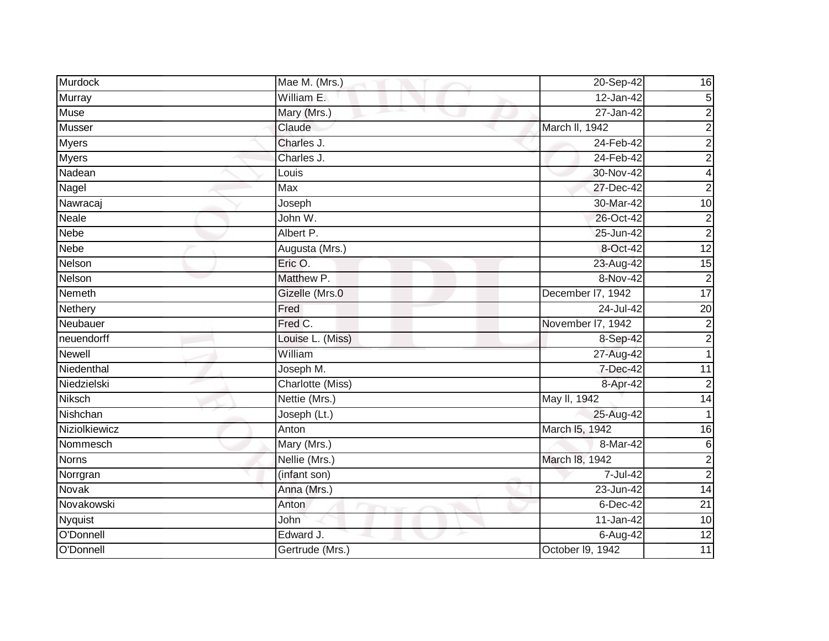| Murdock        | Mae M. (Mrs.)    | 20-Sep-42         | 16              |
|----------------|------------------|-------------------|-----------------|
| Murray         | William E.       | 12-Jan-42         | 5               |
| <b>Muse</b>    | Mary (Mrs.)      | 27-Jan-42         | $\overline{c}$  |
| Musser         | Claude           | March II, 1942    | $\overline{c}$  |
| <b>Myers</b>   | Charles J.       | 24-Feb-42         | $\overline{c}$  |
| <b>Myers</b>   | Charles J.       | 24-Feb-42         | $\overline{2}$  |
| Nadean         | Louis            | 30-Nov-42         | $\overline{4}$  |
| Nagel          | Max              | 27-Dec-42         | $\overline{2}$  |
| Nawracaj       | Joseph           | 30-Mar-42         | 10              |
| <b>Neale</b>   | John W.          | 26-Oct-42         | $\overline{c}$  |
| <b>Nebe</b>    | Albert P.        | 25-Jun-42         | $\overline{2}$  |
| Nebe           | Augusta (Mrs.)   | 8-Oct-42          | $\overline{12}$ |
| Nelson         | Eric O.          | 23-Aug-42         | 15              |
| Nelson         | Matthew P.       | 8-Nov-42          | $\overline{2}$  |
| Nemeth         | Gizelle (Mrs.0   | December I7, 1942 | 17              |
| Nethery        | Fred             | 24-Jul-42         | $\overline{20}$ |
| Neubauer       | Fred C.          | November I7, 1942 | $\overline{2}$  |
| neuendorff     | Louise L. (Miss) | 8-Sep-42          | $\overline{a}$  |
| Newell         | William          | 27-Aug-42         |                 |
| Niedenthal     | Joseph M.        | 7-Dec-42          | $\overline{11}$ |
| Niedzielski    | Charlotte (Miss) | 8-Apr-42          | $\overline{2}$  |
| <b>Niksch</b>  | Nettie (Mrs.)    | May II, 1942      | $\overline{14}$ |
| Nishchan       | Joseph (Lt.)     | 25-Aug-42         |                 |
| Niziolkiewicz  | Anton            | March I5, 1942    | 16              |
| Nommesch       | Mary (Mrs.)      | 8-Mar-42          | 6               |
| <b>Norns</b>   | Nellie (Mrs.)    | March 18, 1942    | $\overline{c}$  |
| Norrgran       | (infant son)     | 7-Jul-42          | $\overline{2}$  |
| Novak          | Anna (Mrs.)      | 23-Jun-42         | $\overline{14}$ |
| Novakowski     | Anton            | 6-Dec-42          | $\overline{21}$ |
| <b>Nyquist</b> | John             | 11-Jan-42         | 10              |
| O'Donnell      | Edward J.        | 6-Aug-42          | 12              |
| O'Donnell      | Gertrude (Mrs.)  | October 19, 1942  | 11              |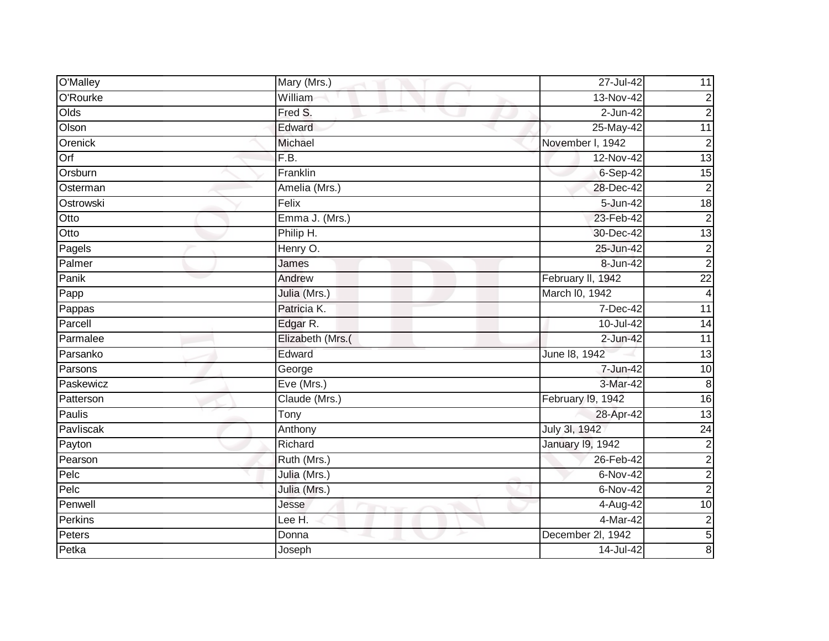| O'Malley  | Mary (Mrs.)                | 27-Jul-42         | 11                      |
|-----------|----------------------------|-------------------|-------------------------|
| O'Rourke  | William                    | 13-Nov-42         | $\overline{\mathbf{c}}$ |
| Olds      | Fred S.<br>and the project | $2-Jun-42$        | $\mathbf 2$             |
| Olson     | Edward                     | 25-May-42         | $\overline{11}$         |
| Orenick   | Michael                    | November I, 1942  | $\overline{c}$          |
| Orf       | F.B.                       | 12-Nov-42         | 13                      |
| Orsburn   | Franklin                   | $6-Sep-42$        | 15                      |
| Osterman  | Amelia (Mrs.)              | 28-Dec-42         | $\overline{2}$          |
| Ostrowski | Felix                      | 5-Jun-42          | 18                      |
| Otto      | Emma J. (Mrs.)             | 23-Feb-42         | $\overline{2}$          |
| Otto      | Philip H.                  | 30-Dec-42         | $\overline{13}$         |
| Pagels    | Henry O.                   | 25-Jun-42         | $\overline{\mathbf{c}}$ |
| Palmer    | James                      | 8-Jun-42          | $\overline{2}$          |
| Panik     | Andrew                     | February II, 1942 | $\overline{22}$         |
| Papp      | Julia (Mrs.)               | March I0, 1942    | 4                       |
| Pappas    | Patricia K.                | 7-Dec-42          | 11                      |
| Parcell   | Edgar R.                   | 10-Jul-42         | $\overline{14}$         |
| Parmalee  | Elizabeth (Mrs.(           | $2$ -Jun-42       | 11                      |
| Parsanko  | Edward                     | June 18, 1942     | $\overline{13}$         |
| Parsons   | George                     | 7-Jun-42          | $\overline{10}$         |
| Paskewicz | Eve (Mrs.)                 | 3-Mar-42          | 8                       |
| Patterson | Claude (Mrs.)              | February 19, 1942 | 16                      |
| Paulis    | $\overline{T}$ ony         | 28-Apr-42         | $\overline{13}$         |
| Pavliscak | Anthony                    | July 3l, 1942     | $\overline{24}$         |
| Payton    | Richard                    | January 19, 1942  | $\overline{2}$          |
| Pearson   | Ruth (Mrs.)                | 26-Feb-42         | $\overline{c}$          |
| Pelc      | Julia (Mrs.)               | $6-Nov-42$        | $\overline{2}$          |
| Pelc      | Julia (Mrs.)               | 6-Nov-42          | $\overline{2}$          |
| Penwell   | Jesse                      | 4-Aug-42          | $\overline{10}$         |
| Perkins   | Lee H.                     | $4-Mar-42$        | $\overline{\mathbf{c}}$ |
| Peters    | Donna                      | December 2l, 1942 | $\overline{5}$          |
| Petka     | Joseph                     | 14-Jul-42         | 8                       |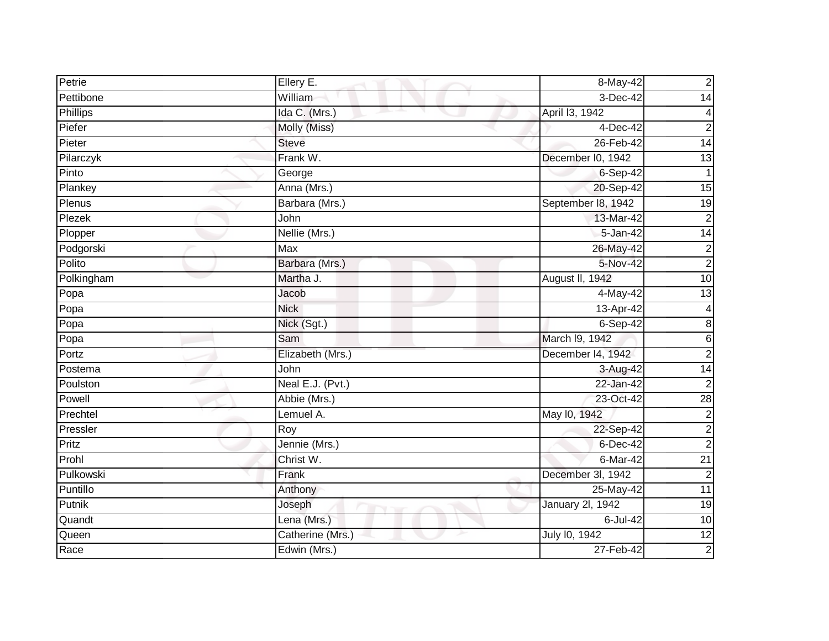| Petrie     | Ellery E.        | 8-May-42                | $\overline{c}$  |
|------------|------------------|-------------------------|-----------------|
| Pettibone  | William          | 3-Dec-42                | $\overline{14}$ |
| Phillips   | Ida C. (Mrs.)    | April 13, 1942          | 4               |
| Piefer     | Molly (Miss)     | 4-Dec-42                | $\overline{c}$  |
| Pieter     | <b>Steve</b>     | 26-Feb-42               | 14              |
| Pilarczyk  | Frank W.         | December I0, 1942       | 13              |
| Pinto      | George           | 6-Sep-42                | $\mathbf{1}$    |
| Plankey    | Anna (Mrs.)      | 20-Sep-42               | $\overline{15}$ |
| Plenus     | Barbara (Mrs.)   | September 18, 1942      | $\overline{19}$ |
| Plezek     | John             | 13-Mar-42               | $\overline{c}$  |
| Plopper    | Nellie (Mrs.)    | 5-Jan-42                | $\overline{14}$ |
| Podgorski  | Max              | 26-May-42               | $\overline{c}$  |
| Polito     | Barbara (Mrs.)   | $5-Nov-42$              | $\overline{2}$  |
| Polkingham | Martha J.        | August II, 1942         | 10              |
| Popa       | Jacob            | 4-May-42                | $\overline{3}$  |
| Popa       | <b>Nick</b>      | 13-Apr-42               | $\overline{4}$  |
| Popa       | Nick (Sgt.)      | $6-Sep-42$              | 8               |
| $P$ opa    | Sam              | March I9, 1942          | $\,6$           |
| Portz      | Elizabeth (Mrs.) | December I4, 1942       | $\overline{2}$  |
| Postema    | John             | 3-Aug-42                | 14              |
| Poulston   | Neal E.J. (Pvt.) | 22-Jan-42               | $\overline{c}$  |
| Powell     | Abbie (Mrs.)     | 23-Oct-42               | 28              |
| Prechtel   | Lemuel A.        | May 10, 1942            | $\overline{c}$  |
| Pressler   | Roy              | 22-Sep-42               | $\overline{c}$  |
| Pritz      | Jennie (Mrs.)    | 6-Dec-42                | $\overline{2}$  |
| Prohl      | Christ W.        | $6$ -Mar-42             | $\overline{21}$ |
| Pulkowski  | Frank            | December 3l, 1942       | $\overline{2}$  |
| Puntillo   | Anthony          | 25-May-42               | $\overline{11}$ |
| Putnik     | Joseph           | <b>January 2l, 1942</b> | $\overline{19}$ |
| Quandt     | Lena (Mrs.)      | 6-Jul-42                | 10              |
| Queen      | Catherine (Mrs.) | July 10, 1942           | 12              |
| Race       | Edwin (Mrs.)     | 27-Feb-42               | $\overline{2}$  |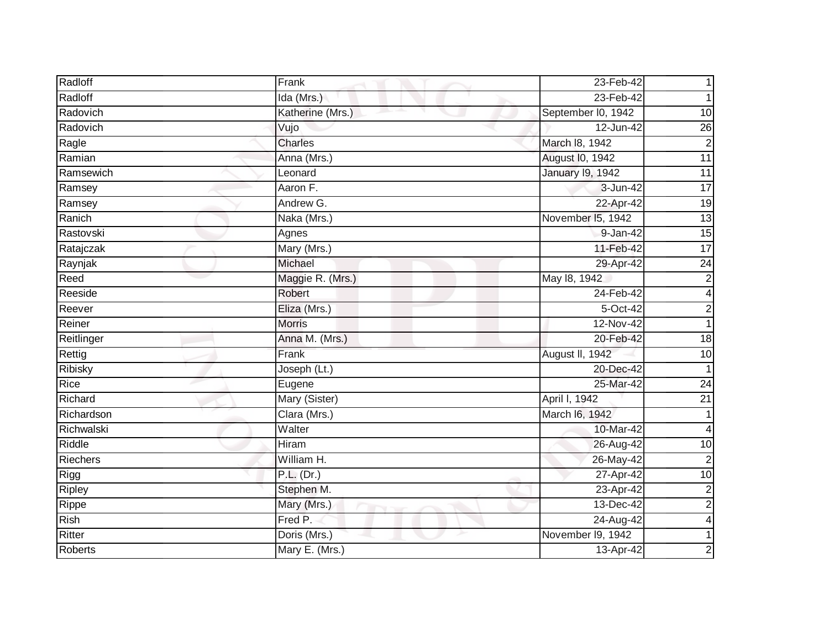| Radloff        | Frank            | 23-Feb-42               |                 |
|----------------|------------------|-------------------------|-----------------|
| Radloff        | Ida (Mrs.)       | 23-Feb-42               |                 |
| Radovich       | Katherine (Mrs.) | September I0, 1942      | $\overline{10}$ |
| Radovich       | Vujo             | 12-Jun-42               | $\overline{26}$ |
| Ragle          | Charles          | March 18, 1942          | $\overline{2}$  |
| Ramian         | Anna (Mrs.)      | August I0, 1942         | 11              |
| Ramsewich      | Leonard          | <b>January 19, 1942</b> | $\overline{11}$ |
| Ramsey         | Aaron F.         | 3-Jun-42                | $\overline{17}$ |
| Ramsey         | Andrew G.        | 22-Apr-42               | 19              |
| Ranich         | Naka (Mrs.)      | November 15, 1942       | 13              |
| Rastovski      | Agnes            | 9-Jan-42                | $\overline{15}$ |
| Ratajczak      | Mary (Mrs.)      | 11-Feb-42               | $\overline{17}$ |
| Raynjak        | Michael          | 29-Apr-42               | $\overline{24}$ |
| Reed           | Maggie R. (Mrs.) | May 18, 1942            | $\mathbf 2$     |
| Reeside        | Robert           | 24-Feb-42               | 4               |
| Reever         | Eliza (Mrs.)     | 5-Oct-42                | $\mathbf 2$     |
| Reiner         | <b>Morris</b>    | 12-Nov-42               |                 |
| Reitlinger     | Anna M. (Mrs.)   | 20-Feb-42               | 18              |
| Rettig         | Frank            | August II, 1942         | 10              |
| <b>Ribisky</b> | Joseph (Lt.)     | 20-Dec-42               |                 |
| Rice           | Eugene           | 25-Mar-42               | 24              |
| Richard        | Mary (Sister)    | April I, 1942           | 21              |
| Richardson     | Clara (Mrs.)     | March I6, 1942          |                 |
| Richwalski     | Walter           | 10-Mar-42               | 4               |
| Riddle         | Hiram            | 26-Aug-42               | 10              |
| Riechers       | William H.       | 26-May-42               | $\overline{2}$  |
| Rigg           | P.L. (Dr.)       | 27-Apr-42               | $\overline{10}$ |
| Ripley         | Stephen M.       | 23-Apr-42               | $\overline{c}$  |
| Rippe          | Mary (Mrs.)      | 13-Dec-42               | $\overline{2}$  |
| <b>Rish</b>    | Fred P.          | 24-Aug-42               | 4               |
| Ritter         | Doris (Mrs.)     | November 19, 1942       |                 |
| <b>Roberts</b> | Mary E. (Mrs.)   | 13-Apr-42               | 2               |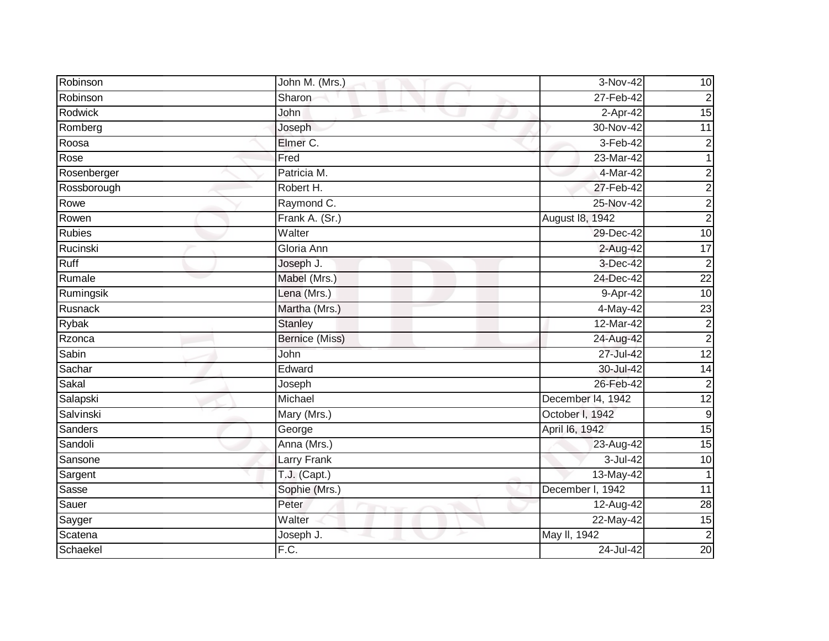| Robinson      | John M. (Mrs.) | 3-Nov-42          | 10              |
|---------------|----------------|-------------------|-----------------|
| Robinson      | Sharon         | 27-Feb-42         | $\overline{2}$  |
| Rodwick       | John           | 2-Apr-42          | $\overline{15}$ |
| Romberg       | Joseph         | 30-Nov-42         | 11              |
| Roosa         | Elmer C.       | 3-Feb-42          | $\overline{c}$  |
| Rose          | Fred           | 23-Mar-42         | 1               |
| Rosenberger   | Patricia M.    | 4-Mar-42          | $\overline{c}$  |
| Rossborough   | Robert H.      | 27-Feb-42         | $\overline{c}$  |
| Rowe          | Raymond C.     | 25-Nov-42         | $\overline{c}$  |
| Rowen         | Frank A. (Sr.) | August 18, 1942   | $\overline{2}$  |
| <b>Rubies</b> | Walter         | 29-Dec-42         | $\overline{10}$ |
| Rucinski      | Gloria Ann     | 2-Aug-42          | $\overline{17}$ |
| Ruff          | Joseph J.      | 3-Dec-42          | $\overline{2}$  |
| Rumale        | Mabel (Mrs.)   | 24-Dec-42         | $\overline{22}$ |
| Rumingsik     | Lena (Mrs.)    | 9-Apr-42          | $\overline{10}$ |
| Rusnack       | Martha (Mrs.)  | 4-May-42          | $\overline{23}$ |
| Rybak         | <b>Stanley</b> | 12-Mar-42         | $\overline{2}$  |
| Rzonca        | Bernice (Miss) | 24-Aug-42         | $\overline{2}$  |
| Sabin         | <b>John</b>    | 27-Jul-42         | 12              |
| Sachar        | Edward         | 30-Jul-42         | $\overline{14}$ |
| Sakal         | Joseph         | 26-Feb-42         | $\overline{c}$  |
| Salapski      | Michael        | December 14, 1942 | $\overline{12}$ |
| Salvinski     | Mary (Mrs.)    | October I, 1942   | 9               |
| Sanders       | George         | April 16, 1942    | 15              |
| Sandoli       | Anna (Mrs.)    | 23-Aug-42         | 15              |
| Sansone       | Larry Frank    | 3-Jul-42          | $\overline{10}$ |
| Sargent       | $T.J.$ (Capt.) | 13-May-42         | 1               |
| Sasse         | Sophie (Mrs.)  | December I, 1942  | $\overline{11}$ |
| Sauer         | Peter          | 12-Aug-42         | 28              |
| Sayger        | Walter         | 22-May-42         | 15              |
| Scatena       | Joseph J.      | May II, 1942      | $\overline{2}$  |
| Schaekel      | F.C.           | 24-Jul-42         | 20              |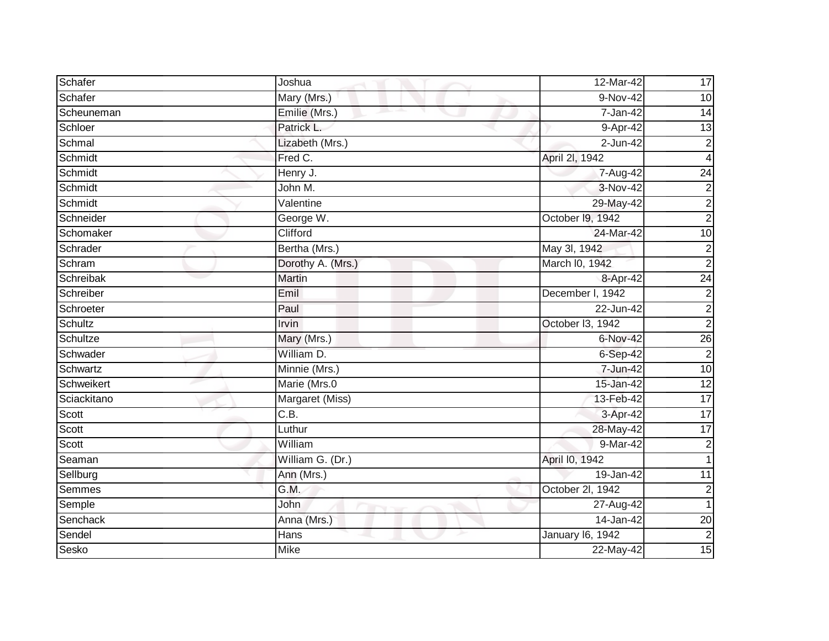| Schafer     | Joshua            | 12-Mar-42        | 17                      |
|-------------|-------------------|------------------|-------------------------|
| Schafer     | Mary (Mrs.)       | 9-Nov-42         | 10                      |
| Scheuneman  | Emilie (Mrs.)     | $7 - Jan-42$     | 14                      |
| Schloer     | Patrick L.        | 9-Apr-42         | $\overline{13}$         |
| Schmal      | Lizabeth (Mrs.)   | 2-Jun-42         | $\mathbf 2$             |
| Schmidt     | Fred C.           | April 2I, 1942   | 4                       |
| Schmidt     | Henry J.          | 7-Aug-42         | $\overline{24}$         |
| Schmidt     | John M.           | 3-Nov-42         | $\mathbf 2$             |
| Schmidt     | Valentine         | 29-May-42        | $\overline{c}$          |
| Schneider   | George W.         | October 19, 1942 | $\overline{2}$          |
| Schomaker   | Clifford          | 24-Mar-42        | 10                      |
| Schrader    | Bertha (Mrs.)     | May 3l, 1942     | 2                       |
| Schram      | Dorothy A. (Mrs.) | March I0, 1942   | $\overline{2}$          |
| Schreibak   | <b>Martin</b>     | 8-Apr-42         | $\overline{24}$         |
| Schreiber   | Emil              | December I, 1942 | $\overline{\mathbf{c}}$ |
| Schroeter   | Paul              | 22-Jun-42        | $\boldsymbol{2}$        |
| Schultz     | Irvin             | October I3, 1942 | $\overline{2}$          |
| Schultze    | Mary (Mrs.)       | 6-Nov-42         | $\overline{26}$         |
| Schwader    | William D.        | $6-Sep-42$       | $\overline{2}$          |
| Schwartz    | Minnie (Mrs.)     | 7-Jun-42         | 10                      |
| Schweikert  | Marie (Mrs.0      | 15-Jan-42        | $\overline{12}$         |
| Sciackitano | Margaret (Miss)   | 13-Feb-42        | $\overline{17}$         |
| Scott       | $\overline{C.B.}$ | 3-Apr-42         | $\overline{17}$         |
| Scott       | Luthur            | 28-May-42        | 17                      |
| Scott       | William           | 9-Mar-42         | $\boldsymbol{2}$        |
| Seaman      | William G. (Dr.)  | April I0, 1942   | 1                       |
| Sellburg    | Ann (Mrs.)        | 19-Jan-42        | 11                      |
| Semmes      | G.M.              | October 2I, 1942 | $\overline{\mathbf{c}}$ |
| Semple      | John              | 27-Aug-42        | 1                       |
| Senchack    | Anna (Mrs.)       | $14$ -Jan-42     | $\overline{20}$         |
| Sendel      | Hans              | January 16, 1942 | $\overline{c}$          |
| Sesko       | <b>Mike</b>       | 22-May-42        | 15                      |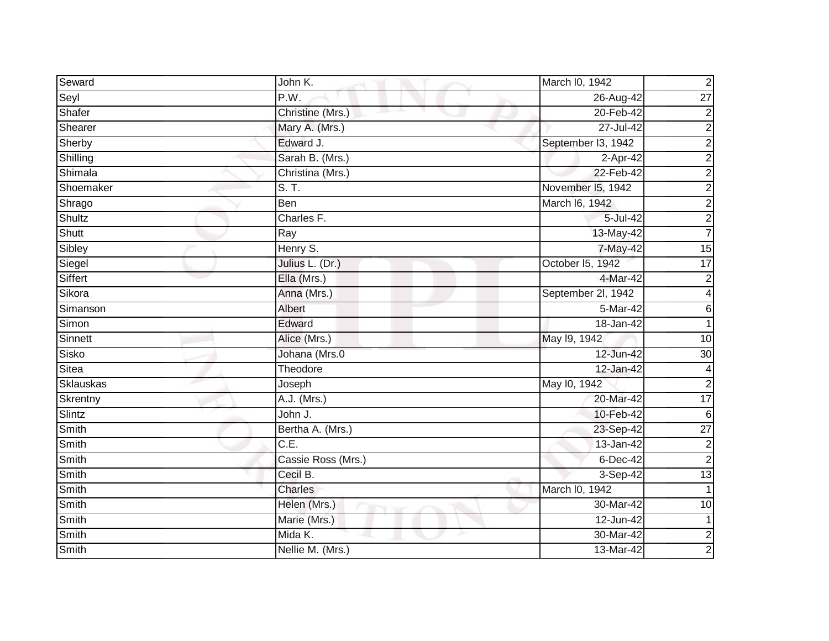| Seward        | John K.            | March I0, 1942     | $\overline{2}$  |
|---------------|--------------------|--------------------|-----------------|
| Seyl          | P.W.               | 26-Aug-42          | $\overline{27}$ |
| Shafer        | Christine (Mrs.)   | 20-Feb-42          | $\overline{c}$  |
| Shearer       | Mary A. (Mrs.)     | 27-Jul-42          | $\overline{c}$  |
| Sherby        | Edward J.          | September I3, 1942 | $\overline{c}$  |
| Shilling      | Sarah B. (Mrs.)    | 2-Apr-42           | $\overline{c}$  |
| Shimala       | Christina (Mrs.)   | 22-Feb-42          | $\overline{2}$  |
| Shoemaker     | S. T.              | November I5, 1942  | $\overline{c}$  |
| Shrago        | Ben                | March I6, 1942     | $\overline{c}$  |
| <b>Shultz</b> | Charles F.         | 5-Jul-42           | $\overline{2}$  |
| Shutt         | Ray                | 13-May-42          | $\overline{7}$  |
| Sibley        | Henry S.           | 7-May-42           | $\overline{15}$ |
| Siegel        | Julius L. (Dr.)    | October 15, 1942   | 17              |
| Siffert       | Ella (Mrs.)        | 4-Mar-42           | $\overline{c}$  |
| Sikora        | Anna (Mrs.)        | September 2l, 1942 | 4               |
| Simanson      | Albert             | 5-Mar-42           | $6\phantom{1}$  |
| Simon         | Edward             | 18-Jan-42          |                 |
| Sinnett       | Alice (Mrs.)       | May 19, 1942       | 10              |
| Sisko         | Johana (Mrs.0      | 12-Jun-42          | $\overline{30}$ |
| <b>Sitea</b>  | Theodore           | 12-Jan-42          | 4               |
| Sklauskas     | Joseph             | May 10, 1942       | $\overline{c}$  |
| Skrentny      | A.J. (Mrs.)        | 20-Mar-42          | $\overline{17}$ |
| Slintz        | John J.            | 10-Feb-42          | $6\phantom{1}6$ |
| Smith         | Bertha A. (Mrs.)   | 23-Sep-42          | $\overline{27}$ |
| <b>Smith</b>  | $\overline{C.E.}$  | 13-Jan-42          | $\overline{c}$  |
| Smith         | Cassie Ross (Mrs.) | $6$ -Dec-42        | $\overline{c}$  |
| Smith         | Cecil B.           | 3-Sep-42           | 13              |
| <b>Smith</b>  | <b>Charles</b>     | March I0, 1942     |                 |
| Smith         | Helen (Mrs.)       | 30-Mar-42          | $\overline{10}$ |
| Smith         | Marie (Mrs.)       | 12-Jun-42          | 1               |
| Smith         | Mida K.            | 30-Mar-42          | $\overline{2}$  |
| Smith         | Nellie M. (Mrs.)   | 13-Mar-42          | $\overline{a}$  |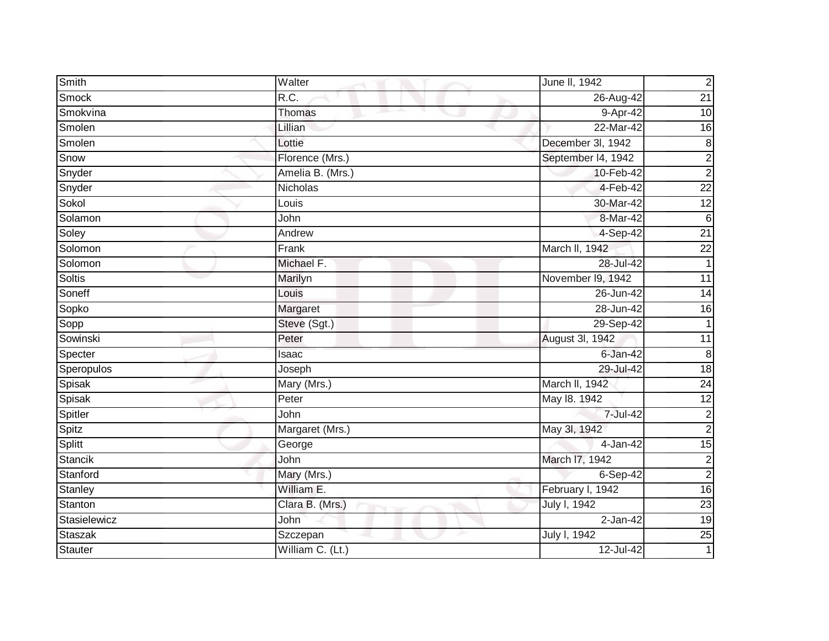| <b>Smith</b>   | Walter           | June II, 1942      | $\overline{c}$  |
|----------------|------------------|--------------------|-----------------|
| Smock          | R.C.             | 26-Aug-42          | $\overline{21}$ |
| Smokvina       | Thomas           | 9-Apr-42           | 10              |
| Smolen         | Lillian          | 22-Mar-42          | 16              |
| Smolen         | Lottie           | December 3l, 1942  | $\infty$        |
| Snow           | Florence (Mrs.)  | September I4, 1942 | $\overline{c}$  |
| Snyder         | Amelia B. (Mrs.) | 10-Feb-42          | $\overline{2}$  |
| Snyder         | <b>Nicholas</b>  | 4-Feb-42           | $\overline{22}$ |
| Sokol          | Louis            | 30-Mar-42          | $\overline{12}$ |
| Solamon        | John             | 8-Mar-42           | $\sigma$        |
| Soley          | Andrew           | $4-Sep-42$         | $\overline{21}$ |
| Solomon        | Frank            | March II, 1942     | $\overline{22}$ |
| Solomon        | Michael F.       | 28-Jul-42          | $\mathbf{1}$    |
| <b>Soltis</b>  | Marilyn          | November I9, 1942  | $\overline{11}$ |
| Soneff         | Louis            | 26-Jun-42          | $\overline{14}$ |
| Sopko          | Margaret         | 28-Jun-42          | 16              |
| Sopp           | Steve (Sgt.)     | 29-Sep-42          | $\mathbf{1}$    |
| Sowinski       | Peter            | August 3l, 1942    | $\overline{11}$ |
| Specter        | Isaac            | $6 - Jan-42$       | ထ               |
| Speropulos     | Joseph           | 29-Jul-42          | 18              |
| Spisak         | Mary (Mrs.)      | March II, 1942     | 24              |
| Spisak         | Peter            | May 18. 1942       | 12              |
| Spitler        | John             | 7-Jul-42           | $\overline{c}$  |
| Spitz          | Margaret (Mrs.)  | May 3l, 1942       | $\overline{c}$  |
| Splitt         | George           | 4-Jan-42           | 15              |
| <b>Stancik</b> | John             | March I7, 1942     | $\overline{c}$  |
| Stanford       | Mary (Mrs.)      | $6-Sep-42$         | $\overline{2}$  |
| Stanley        | William E.       | February I, 1942   | 16              |
| Stanton        | Clara B. (Mrs.)  | July I, 1942       | 23              |
| Stasielewicz   | <b>John</b>      | $2$ -Jan-42        | $\overline{19}$ |
| Staszak        | Szczepan         | July I, 1942       | 25              |
| <b>Stauter</b> | William C. (Lt.) | 12-Jul-42          | 1               |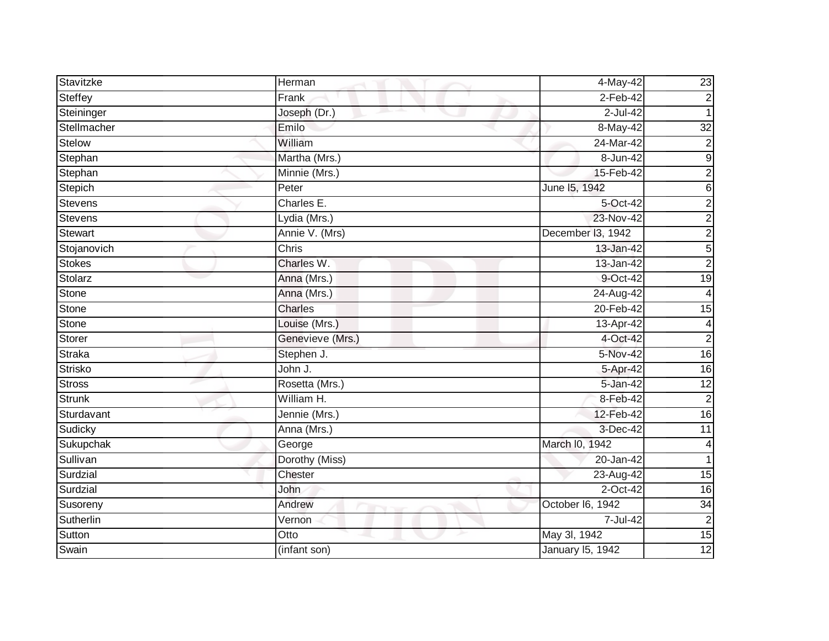| Stavitzke      | Herman                    | 4-May-42                | 23                      |
|----------------|---------------------------|-------------------------|-------------------------|
| Steffey        | Frank                     | $2-Feb-42$              | $\overline{2}$          |
|                |                           | $2$ -Jul-42             | 1                       |
| Steininger     | Joseph (Dr.)              |                         |                         |
| Stellmacher    | Emilo                     | 8-May-42                | 32                      |
| Stelow         | William                   | 24-Mar-42               | $\overline{2}$          |
| Stephan        | Martha (Mrs.)             | 8-Jun-42                | $9\,$                   |
| Stephan        | Minnie (Mrs.)             | 15-Feb-42               | $\overline{c}$          |
| Stepich        | Peter                     | June 15, 1942           | 6                       |
| Stevens        | Charles E.                | 5-Oct-42                | $\overline{c}$          |
| <b>Stevens</b> | Lydia (Mrs.)              | 23-Nov-42               | $\overline{2}$          |
| <b>Stewart</b> | Annie V. (Mrs)            | December I3, 1942       | $\overline{c}$          |
| Stojanovich    | $\overline{\text{Chris}}$ | 13-Jan-42               | 5                       |
| <b>Stokes</b>  | Charles W.                | 13-Jan-42               | $\overline{2}$          |
| Stolarz        | Anna (Mrs.)               | 9-Oct-42                | 19                      |
| Stone          | Anna (Mrs.)               | 24-Aug-42               | 4                       |
| Stone          | Charles                   | 20-Feb-42               | 15                      |
| <b>Stone</b>   | Louise (Mrs.)             | 13-Apr-42               | $\overline{\mathbf{4}}$ |
| Storer         | Genevieve (Mrs.)          | 4-Oct-42                | $\overline{2}$          |
| <b>Straka</b>  | Stephen J.                | 5-Nov-42                | 16                      |
| Strisko        | John J.                   | 5-Apr-42                | 16                      |
| Stross         | Rosetta (Mrs.)            | 5-Jan-42                | $\overline{12}$         |
| <b>Strunk</b>  | William H.                | 8-Feb-42                | $\overline{2}$          |
| Sturdavant     | Jennie (Mrs.)             | 12-Feb-42               | 16                      |
| Sudicky        | Anna (Mrs.)               | 3-Dec-42                | 11                      |
| Sukupchak      | George                    | March I0, 1942          | $\overline{4}$          |
| Sullivan       | Dorothy (Miss)            | 20-Jan-42               |                         |
| Surdzial       | Chester                   | 23-Aug-42               | $\overline{15}$         |
| Surdzial       | John                      | 2-Oct-42                | 16                      |
| Susoreny       | Andrew                    | October I6, 1942        | 34                      |
| Sutherlin      | Vernon                    | 7-Jul-42                | $\overline{2}$          |
| Sutton         | Otto                      | May 3l, 1942            | 15                      |
| Swain          | (infant son)              | <b>January 15, 1942</b> | 12                      |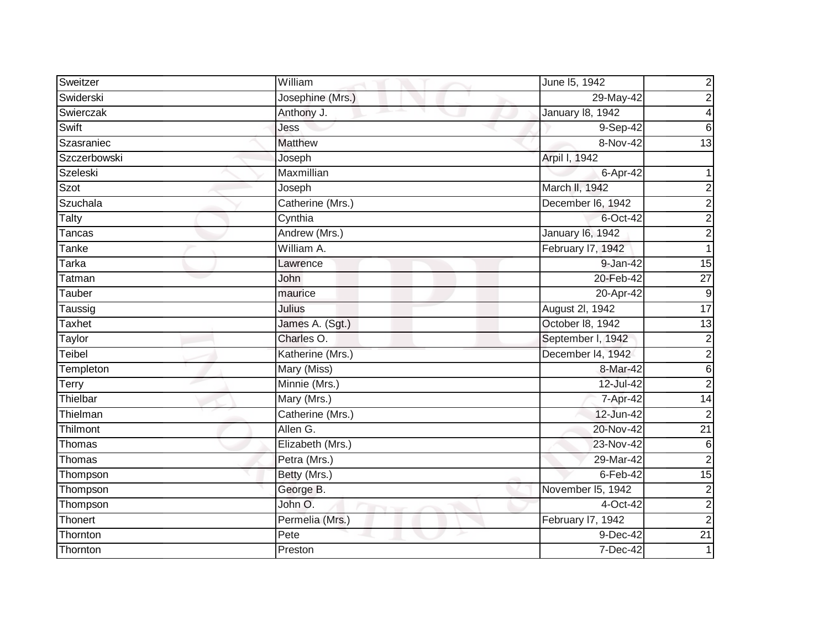| Sweitzer      | William          | June 15, 1942           | $\overline{\mathbf{c}}$ |
|---------------|------------------|-------------------------|-------------------------|
| Swiderski     | Josephine (Mrs.) | 29-May-42               | $\overline{2}$          |
| Swierczak     | Anthony J.       | <b>January 18, 1942</b> | 4                       |
| Swift         | Jess             | 9-Sep-42                | 6                       |
| Szasraniec    | <b>Matthew</b>   | 8-Nov-42                | 13                      |
| Szczerbowski  | Joseph           | Arpil I, 1942           |                         |
| Szeleski      | Maxmillian       | 6-Apr-42                |                         |
| Szot          | Joseph           | March II, 1942          | $\overline{\mathbf{c}}$ |
| Szuchala      | Catherine (Mrs.) | December I6, 1942       | $\boldsymbol{2}$        |
| Talty         | Cynthia          | $6$ -Oct-42             | $\overline{2}$          |
| <b>Tancas</b> | Andrew (Mrs.)    | January 16, 1942        | $\overline{2}$          |
| Tanke         | William A.       | February I7, 1942       | $\mathbf{1}$            |
| Tarka         | Lawrence         | 9-Jan-42                | 15                      |
| Tatman        | John             | 20-Feb-42               | $\overline{27}$         |
| Tauber        | maurice          | 20-Apr-42               | $\boldsymbol{9}$        |
| Taussig       | Julius           | August 2l, 1942         | 17                      |
| Taxhet        | James A. (Sgt.)  | October 18, 1942        | $\overline{13}$         |
| Taylor        | Charles O.       | September I, 1942       | $\overline{\mathbf{c}}$ |
| Teibel        | Katherine (Mrs.) | December I4, 1942       | $\overline{2}$          |
| Templeton     | Mary (Miss)      | 8-Mar-42                | $\overline{6}$          |
| Terry         | Minnie (Mrs.)    | 12-Jul-42               | $\overline{c}$          |
| Thielbar      | Mary (Mrs.)      | 7-Apr-42                | 14                      |
| Thielman      | Catherine (Mrs.) | 12-Jun-42               | $\overline{\mathbf{c}}$ |
| Thilmont      | Allen G.         | 20-Nov-42               | $\overline{21}$         |
| Thomas        | Elizabeth (Mrs.) | 23-Nov-42               | $\overline{6}$          |
| Thomas        | Petra (Mrs.)     | 29-Mar-42               | $\overline{2}$          |
| Thompson      | Betty (Mrs.)     | $6$ -Feb-42             | 15                      |
| Thompson      | George B.        | November I5, 1942       | $\overline{2}$          |
| Thompson      | John O.          | 4-Oct-42                | $\overline{2}$          |
| Thonert       | Permelia (Mrs.)  | February I7, 1942       | $\overline{2}$          |
| Thornton      | Pete             | 9-Dec-42                | $\overline{21}$         |
| Thornton      | Preston          | 7-Dec-42                |                         |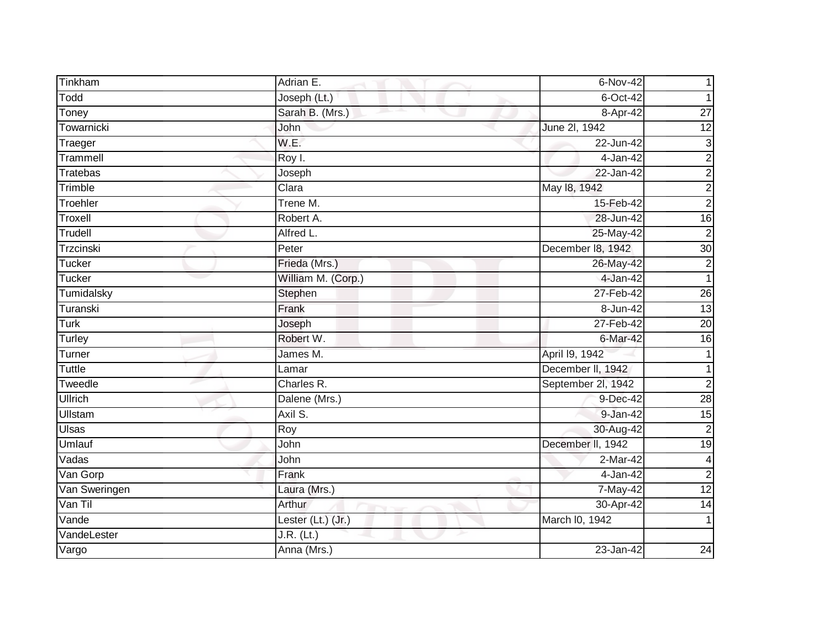| Tinkham         | Adrian E.          | 6-Nov-42           |                           |
|-----------------|--------------------|--------------------|---------------------------|
| Todd            | Joseph (Lt.)       | $6$ -Oct-42        |                           |
| Toney           | Sarah B. (Mrs.)    | 8-Apr-42           | $\overline{27}$           |
| Towarnicki      | John               | June 2l, 1942      | 12                        |
| Traeger         | W.E.               | 22-Jun-42          | $\ensuremath{\mathsf{3}}$ |
| Trammell        | Roy I.             | 4-Jan-42           | $\overline{c}$            |
| <b>Tratebas</b> | Joseph             | 22-Jan-42          | $\overline{2}$            |
| Trimble         | Clara              | May 18, 1942       | $\overline{c}$            |
| Troehler        | Trene M.           | 15-Feb-42          | $\overline{2}$            |
| Troxell         | Robert A.          | 28-Jun-42          | 16                        |
| Trudell         | Alfred L.          | 25-May-42          | $\overline{2}$            |
| Trzcinski       | Peter              | December 18, 1942  | 30                        |
| Tucker          | Frieda (Mrs.)      | 26-May-42          | $\overline{2}$            |
| Tucker          | William M. (Corp.) | 4-Jan-42           | 1                         |
| Tumidalsky      | Stephen            | 27-Feb-42          | $\overline{26}$           |
| Turanski        | Frank              | 8-Jun-42           | $\overline{13}$           |
| <b>Turk</b>     | Joseph             | 27-Feb-42          | 20                        |
| Turley          | Robert W.          | 6-Mar-42           | 16                        |
| Turner          | James M.           | April 19, 1942     |                           |
| <b>Tuttle</b>   | Lamar              | December II, 1942  |                           |
| Tweedle         | Charles R.         | September 2l, 1942 | $\overline{2}$            |
| <b>Ullrich</b>  | Dalene (Mrs.)      | 9-Dec-42           | 28                        |
| <b>Ullstam</b>  | Axil S.            | $9 - Jan-42$       | $\overline{15}$           |
| Ulsas           | Roy                | 30-Aug-42          | $\mathbf 2$               |
| <b>Umlauf</b>   | John               | December II, 1942  | $\overline{19}$           |
| Vadas           | John               | $2-Mar-42$         | 4                         |
| Van Gorp        | Frank              | $4-Jan-42$         | $\overline{2}$            |
| Van Sweringen   | Laura (Mrs.)       | 7-May-42           | 12                        |
| Van Til         | <b>Arthur</b>      | 30-Apr-42          | $\overline{14}$           |
| Vande           | Lester (Lt.) (Jr.) | March I0, 1942     | 1                         |
| VandeLester     | $J.R.$ (Lt.)       |                    |                           |
| Vargo           | Anna (Mrs.)        | 23-Jan-42          | 24                        |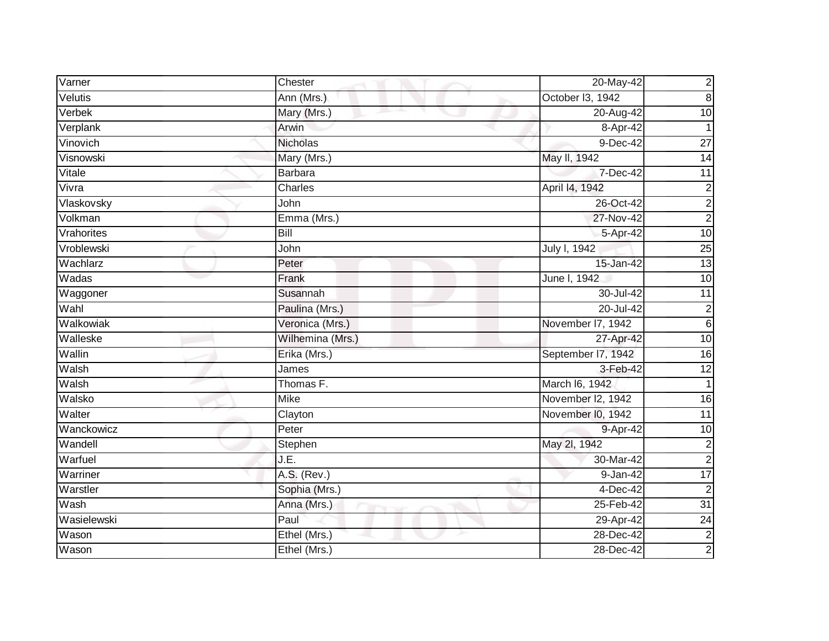| Varner      | Chester          | 20-May-42          | $\overline{c}$   |
|-------------|------------------|--------------------|------------------|
| Velutis     | Ann (Mrs.)       | October 13, 1942   | $\infty$         |
| Verbek      | Mary (Mrs.)      | 20-Aug-42          | $\overline{10}$  |
| Verplank    | Arwin            | 8-Apr-42           |                  |
| Vinovich    | <b>Nicholas</b>  | $9-Dec-42$         | $\overline{27}$  |
| Visnowski   | Mary (Mrs.)      | May II, 1942       | 14               |
| Vitale      | <b>Barbara</b>   | 7-Dec-42           | 11               |
| Vivra       | Charles          | April 14, 1942     | $\boldsymbol{2}$ |
| Vlaskovsky  | John             | 26-Oct-42          | $\overline{2}$   |
| Volkman     | Emma (Mrs.)      | 27-Nov-42          | $\overline{2}$   |
| Vrahorites  | <b>Bill</b>      | 5-Apr-42           | 10               |
| Vroblewski  | John             | July I, 1942       | $\overline{25}$  |
| Wachlarz    | Peter            | 15-Jan-42          | 13               |
| Wadas       | Frank            | June I, 1942       | $\overline{10}$  |
| Waggoner    | Susannah         | 30-Jul-42          | 11               |
| Wahl        | Paulina (Mrs.)   | 20-Jul-42          | $\overline{2}$   |
| Walkowiak   | Veronica (Mrs.)  | November 17, 1942  | $\sigma$         |
| Walleske    | Wilhemina (Mrs.) | 27-Apr-42          | 10               |
| Wallin      | Erika (Mrs.)     | September I7, 1942 | 16               |
| Walsh       | James            | 3-Feb-42           | 12               |
| Walsh       | Thomas F.        | March I6, 1942     | 1                |
| Walsko      | <b>Mike</b>      | November I2, 1942  | 16               |
| Walter      | Clayton          | November I0, 1942  | $\overline{11}$  |
| Wanckowicz  | Peter            | 9-Apr-42           | 10               |
| Wandell     | Stephen          | May 2l, 1942       | $\overline{2}$   |
| Warfuel     | J.E.             | 30-Mar-42          | $\overline{2}$   |
| Warriner    | A.S. (Rev.)      | $9 - Jan-42$       | 17               |
| Warstler    | Sophia (Mrs.)    | 4-Dec-42           | $\overline{2}$   |
| Wash        | Anna (Mrs.)      | 25-Feb-42          | $\overline{31}$  |
| Wasielewski | Paul             | 29-Apr-42          | 24               |
| Wason       | Ethel (Mrs.)     | 28-Dec-42          | $\overline{2}$   |
| Wason       | Ethel (Mrs.)     | 28-Dec-42          | $\overline{2}$   |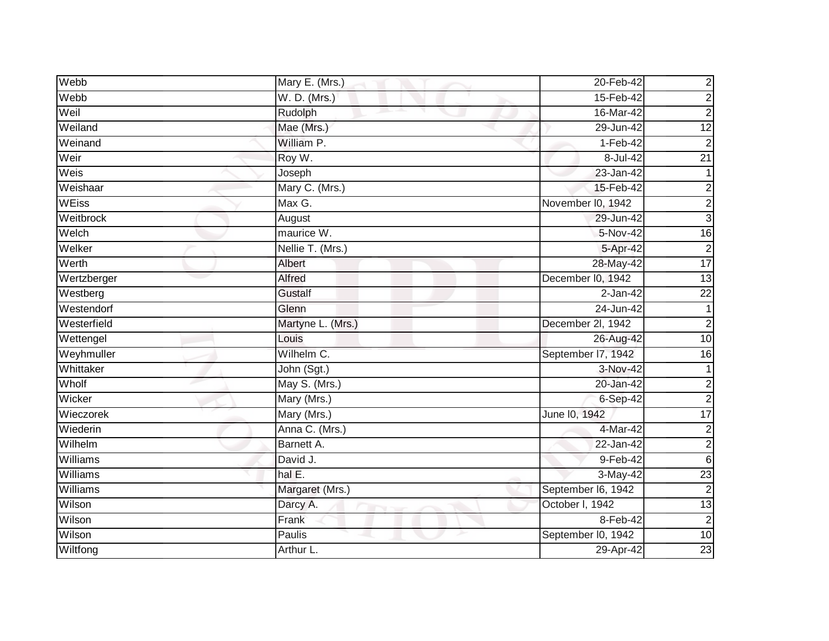| Webb            | Mary E. (Mrs.)    | 20-Feb-42          | $\overline{c}$  |
|-----------------|-------------------|--------------------|-----------------|
| Webb            | W. D. (Mrs.)      | 15-Feb-42          | $\overline{c}$  |
| Weil            | Rudolph           | 16-Mar-42          | $\overline{c}$  |
| Weiland         | Mae (Mrs.)        | 29-Jun-42          | $\overline{12}$ |
| Weinand         | William P.        | $1-Feb-42$         | $\overline{c}$  |
| Weir            | Roy W.            | 8-Jul-42           | $\overline{21}$ |
| Weis            | Joseph            | 23-Jan-42          |                 |
| Weishaar        | Mary C. (Mrs.)    | 15-Feb-42          | $\overline{c}$  |
| <b>WEiss</b>    | Max G.            | November I0, 1942  | $\overline{c}$  |
| Weitbrock       | August            | 29-Jun-42          | دن              |
| Welch           | maurice W.        | 5-Nov-42           | $\overline{16}$ |
| Welker          | Nellie T. (Mrs.)  | 5-Apr-42           | $\overline{c}$  |
| Werth           | Albert            | 28-May-42          | 17              |
| Wertzberger     | <b>Alfred</b>     | December I0, 1942  | $\overline{13}$ |
| Westberg        | <b>Gustalf</b>    | $2$ -Jan-42        | $\overline{22}$ |
| Westendorf      | Glenn             | 24-Jun-42          |                 |
| Westerfield     | Martyne L. (Mrs.) | December 2l, 1942  | $\overline{2}$  |
| Wettengel       | Louis             | 26-Aug-42          | 10              |
| Weyhmuller      | Wilhelm C.        | September 17, 1942 | 16              |
| Whittaker       | John (Sgt.)       | 3-Nov-42           |                 |
| Wholf           | May S. (Mrs.)     | 20-Jan-42          | $\overline{c}$  |
| Wicker          | Mary (Mrs.)       | $6-Sep-42$         | $\overline{2}$  |
| Wieczorek       | Mary (Mrs.)       | June 10, 1942      | $\overline{17}$ |
| Wiederin        | Anna C. (Mrs.)    | 4-Mar-42           | $\overline{c}$  |
| Wilhelm         | Barnett A.        | $22$ -Jan-42       | $\overline{c}$  |
| Williams        | David J.          | 9-Feb-42           | $6\phantom{1}$  |
| Williams        | hal $E$ .         | $3-May-42$         | 23              |
| <b>Williams</b> | Margaret (Mrs.)   | September I6, 1942 | $\overline{2}$  |
| Wilson          | Darcy A.          | October I, 1942    | 13              |
| Wilson          | Frank             | 8-Feb-42           | $\overline{c}$  |
| Wilson          | Paulis            | September I0, 1942 | 10              |
| Wiltfong        | Arthur L.         | 29-Apr-42          | 23              |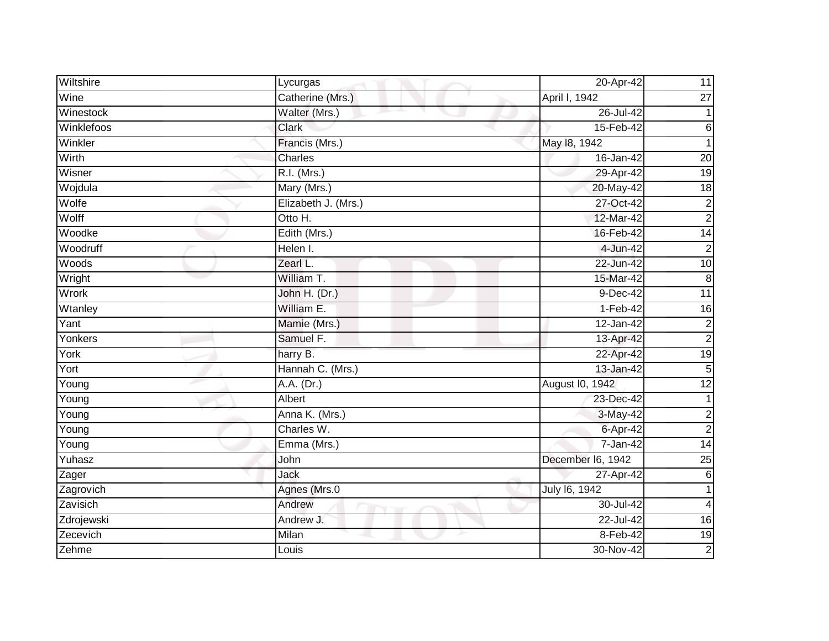| Wiltshire  | Lycurgas            | 20-Apr-42         | 11              |
|------------|---------------------|-------------------|-----------------|
| Wine       | Catherine (Mrs.)    | April I, 1942     | $\overline{27}$ |
| Winestock  | Walter (Mrs.)<br>m. | 26-Jul-42         |                 |
| Winklefoos | <b>Clark</b>        | 15-Feb-42         | $\,6$           |
| Winkler    | Francis (Mrs.)      | May 18, 1942      | 1               |
| Wirth      | Charles             | 16-Jan-42         | $\overline{20}$ |
| Wisner     | R.I. (Mrs.)         | 29-Apr-42         | 19              |
| Wojdula    | Mary (Mrs.)         | 20-May-42         | $\frac{1}{8}$   |
| Wolfe      | Elizabeth J. (Mrs.) | 27-Oct-42         | $\overline{c}$  |
| Wolff      | Otto H.             | 12-Mar-42         | $\overline{2}$  |
| Woodke     | Edith (Mrs.)        | 16-Feb-42         | $\overline{14}$ |
| Woodruff   | Helen I.            | 4-Jun-42          | $\overline{2}$  |
| Woods      | Zearl L.            | 22-Jun-42         | 10              |
| Wright     | William T.          | 15-Mar-42         | 8               |
| Wrork      | John H. (Dr.)       | $9-Dec-42$        | 11              |
| Wtanley    | William E.          | $1-Feb-42$        | 16              |
| Yant       | Mamie (Mrs.)        | 12-Jan-42         | $\overline{2}$  |
| Yonkers    | Samuel F.           | 13-Apr-42         | $\overline{2}$  |
| York       | harry B.            | 22-Apr-42         | 19              |
| Yort       | Hannah C. (Mrs.)    | 13-Jan-42         | 5               |
| Young      | A.A. (Dr.)          | August I0, 1942   | 12              |
| Young      | Albert              | 23-Dec-42         | 1               |
| Young      | Anna K. (Mrs.)      | 3-May-42          | $\overline{c}$  |
| Young      | Charles W.          | 6-Apr-42          | $\overline{2}$  |
| Young      | Emma (Mrs.)         | 7-Jan-42          | $\overline{14}$ |
| Yuhasz     | John                | December I6, 1942 | $\overline{25}$ |
| Zager      | Jack                | 27-Apr-42         | 6               |
| Zagrovich  | Agnes (Mrs.0        | July 16, 1942     |                 |
| Zavisich   | Andrew              | 30-Jul-42         | 4               |
| Zdrojewski | Andrew J.           | 22-Jul-42         | 16              |
| Zecevich   | Milan               | 8-Feb-42          | $\overline{19}$ |
| Zehme      | Louis               | 30-Nov-42         | $\overline{2}$  |